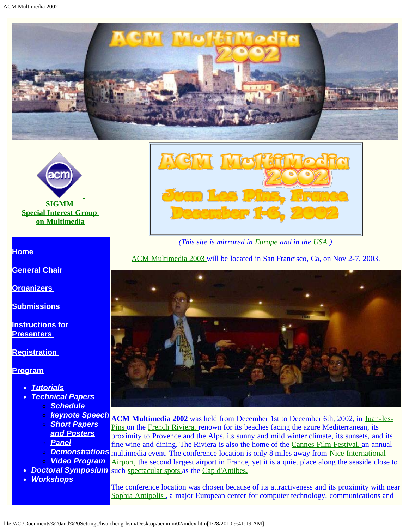<span id="page-0-0"></span>



#### **[Home](#page-2-0)**

**[General Chair](javascript:if(confirm()** 

**[Organizers](#page-4-0)** 

**[Submissions](#page-6-0)** 

**[Instructions for](#page-8-0) [Presenters](#page-8-0)** 

**[Registration](#page-10-0)** 

**[Program](#page-12-0)**

- *[Tutorials](#page-13-0)*
- *[Technical Papers](#page-14-0)*
	- *[Schedule](javascript:if(confirm()*
	- *[Short Papers](javascript:if(confirm()*
	- *[and Posters](javascript:if(confirm() [Panel](javascript:if(confirm()*
	-
	- *[Video Program](#page-17-0)*
- 
- *[Workshops](#page-20-0)*



*(This site is mirrored in [Europe a](#page-0-0)nd in the [USA \)](javascript:if(confirm()*

[ACM Multimedia 2003 w](javascript:if(confirm()ill be located in San Francisco, Ca, on Nov 2-7, 2003.



*[keynote Speech](javascript:if(confirm()* **ACM Multimedia 2002** was held from December 1st to December 6th, 2002, in [Juan-les-](javascript:if(confirm()**[Demonstrations](javascript:if(confirm()** multimedia event. The conference location is only 8 miles away from [Nice International](javascript:if(confirm() *[Doctoral Symposium](#page-18-0)* such [spectacular spots a](javascript:if(confirm()s the [Cap d'Antibes.](javascript:if(confirm() [Pins o](javascript:if(confirm()n the [French Riviera,](javascript:if(confirm() renown for its beaches facing the azure Mediterranean, its proximity to Provence and the Alps, its sunny and mild winter climate, its sunsets, and its fine wine and dining. The Riviera is also the home of the [Cannes Film Festival,](javascript:if(confirm() an annual [Airport,](javascript:if(confirm() the second largest airport in France, yet it is a quiet place along the seaside close to

> The conference location was chosen because of its attractiveness and its proximity with near [Sophia Antipolis ,](javascript:if(confirm() a major European center for computer technology, communications and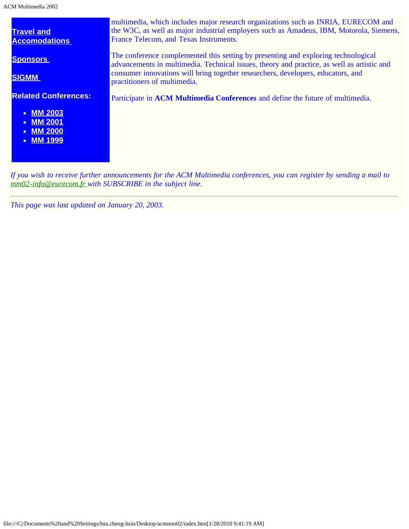ACM Multimedia 2002

| <b>Travel and</b><br><b>Accomodations</b>                                                                   | multimedia, which includes major research organizations such as INRIA, EURECOM and<br>the W3C, as well as major industrial employers such as Amadeus, IBM, Motorola, Siemens,<br>France Telecom, and Texas Instruments.                                                                              |
|-------------------------------------------------------------------------------------------------------------|------------------------------------------------------------------------------------------------------------------------------------------------------------------------------------------------------------------------------------------------------------------------------------------------------|
| <b>Sponsors</b><br><b>SIGMM</b>                                                                             | The conference complemented this setting by presenting and exploring technological<br>advancements in multimedia. Technical issues, theory and practice, as well as artistic and<br>consumer innovations will bring together researchers, developers, educators, and<br>practitioners of multimedia. |
| <b>Related Conferences:</b><br><b>MM 2003</b><br><b>MM 2001</b><br>$\bullet$<br>• MM 2000<br><b>MM 1999</b> | Participate in ACM Multimedia Conferences and define the future of multimedia.                                                                                                                                                                                                                       |

*If you wish to receive further announcements for the ACM Multimedia conferences, you can register by sending a mail to [mm02-info@eurecom.fr](mailto:mm02-info@eurecom.fr) with SUBSCRIBE in the subject line.*

*This page was last updated on January 20, 2003.*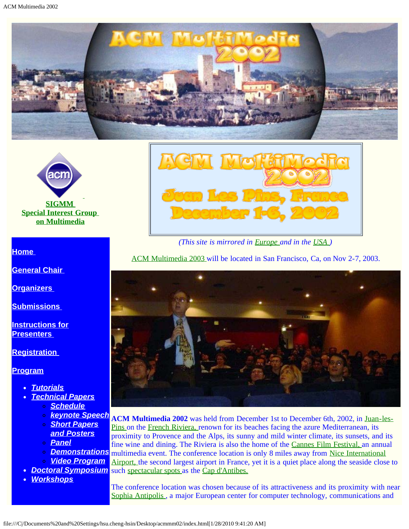<span id="page-2-0"></span>



#### **[Home](#page-2-0)**

**[General Chair](javascript:if(confirm()** 

**[Organizers](#page-4-0)** 

**[Submissions](#page-6-0)** 

**[Instructions for](#page-8-0) [Presenters](#page-8-0)** 

**[Registration](#page-10-0)** 

**[Program](#page-12-0)**

- *[Tutorials](#page-13-0)*
- *[Technical Papers](#page-14-0)*
	- *[Schedule](javascript:if(confirm()*
	- *[Short Papers](javascript:if(confirm()*
	- *[and Posters](javascript:if(confirm() [Panel](javascript:if(confirm()*
	-
	-
	- *[Video Program](#page-17-0)*
- 
- *[Workshops](#page-20-0)*



*(This site is mirrored in [Europe a](#page-0-0)nd in the [USA \)](javascript:if(confirm()*

[ACM Multimedia 2003 w](javascript:if(confirm()ill be located in San Francisco, Ca, on Nov 2-7, 2003.



*[keynote Speech](javascript:if(confirm()* **ACM Multimedia 2002** was held from December 1st to December 6th, 2002, in [Juan-les-](javascript:if(confirm()**[Demonstrations](javascript:if(confirm()** multimedia event. The conference location is only 8 miles away from [Nice International](javascript:if(confirm() *[Doctoral Symposium](#page-18-0)* such [spectacular spots a](javascript:if(confirm()s the [Cap d'Antibes.](javascript:if(confirm() [Pins o](javascript:if(confirm()n the [French Riviera,](javascript:if(confirm() renown for its beaches facing the azure Mediterranean, its proximity to Provence and the Alps, its sunny and mild winter climate, its sunsets, and its fine wine and dining. The Riviera is also the home of the [Cannes Film Festival,](javascript:if(confirm() an annual [Airport,](javascript:if(confirm() the second largest airport in France, yet it is a quiet place along the seaside close to

> The conference location was chosen because of its attractiveness and its proximity with near [Sophia Antipolis ,](javascript:if(confirm() a major European center for computer technology, communications and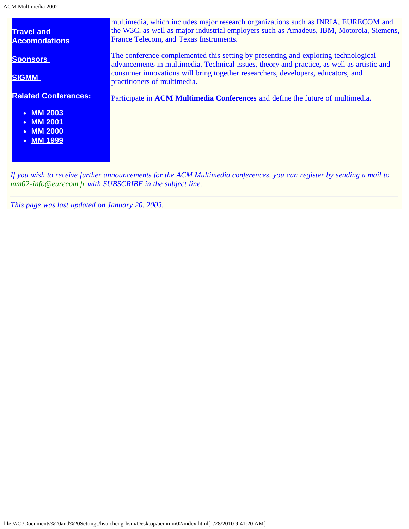ACM Multimedia 2002

| <b>Travel and</b><br><b>Accomodations</b>                                                                                | multimedia, which includes major research organizations such as INRIA, EURECOM and<br>the W3C, as well as major industrial employers such as Amadeus, IBM, Motorola, Siemens,<br>France Telecom, and Texas Instruments.                                                                              |
|--------------------------------------------------------------------------------------------------------------------------|------------------------------------------------------------------------------------------------------------------------------------------------------------------------------------------------------------------------------------------------------------------------------------------------------|
| <b>Sponsors</b><br><b>SIGMM</b>                                                                                          | The conference complemented this setting by presenting and exploring technological<br>advancements in multimedia. Technical issues, theory and practice, as well as artistic and<br>consumer innovations will bring together researchers, developers, educators, and<br>practitioners of multimedia. |
| <b>Related Conferences:</b><br><b>MM 2003</b><br><b>MM 2001</b><br>$\bullet$<br>• MM 2000<br><b>MM 1999</b><br>$\bullet$ | Participate in ACM Multimedia Conferences and define the future of multimedia.                                                                                                                                                                                                                       |

*If you wish to receive further announcements for the ACM Multimedia conferences, you can register by sending a mail to [mm02-info@eurecom.fr](mailto:mm02-info@eurecom.fr) with SUBSCRIBE in the subject line.*

*This page was last updated on January 20, 2003.*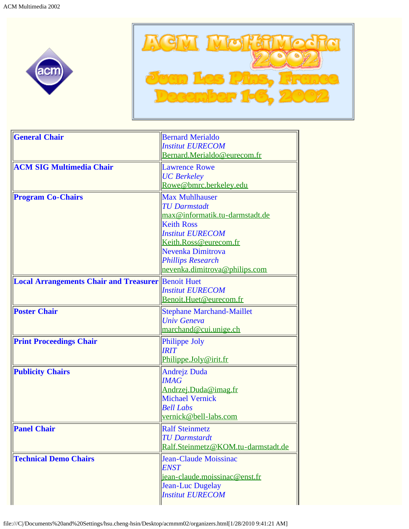<span id="page-4-0"></span>



| <b>General Chair</b>                                      | <b>Bernard Merialdo</b>              |
|-----------------------------------------------------------|--------------------------------------|
|                                                           | <b>Institut EURECOM</b>              |
|                                                           | Bernard.Merialdo@eurecom.fr          |
| <b>ACM SIG Multimedia Chair</b>                           | <b>Lawrence Rowe</b>                 |
|                                                           | <b>UC</b> Berkeley                   |
|                                                           | Rowe@bmrc.berkeley.edu               |
| <b>Program Co-Chairs</b>                                  | <b>Max Muhlhauser</b>                |
|                                                           | <b>TU Darmstadt</b>                  |
|                                                           | max@informatik.tu-darmstadt.de       |
|                                                           | <b>Keith Ross</b>                    |
|                                                           | <b>Institut EURECOM</b>              |
|                                                           | Keith.Ross@eurecom.fr                |
|                                                           | Nevenka Dimitrova                    |
|                                                           | <b>Phillips Research</b>             |
|                                                           | nevenka.dimitrova@philips.com        |
| <b>Local Arrangements Chair and Treasurer</b> Benoit Huet |                                      |
|                                                           | <b>Institut EURECOM</b>              |
|                                                           | Benoit.Huet@eurecom.fr               |
| <b>Poster Chair</b>                                       | <b>Stephane Marchand-Maillet</b>     |
|                                                           | <b>Univ Geneva</b>                   |
|                                                           | marchand@cui.unige.ch                |
| <b>Print Proceedings Chair</b>                            | Philippe Joly                        |
|                                                           | <b>IRIT</b>                          |
|                                                           | Philippe.Joly@irit.fr                |
| <b>Publicity Chairs</b>                                   | <b>Andrejz Duda</b>                  |
|                                                           | <b>IMAG</b>                          |
|                                                           | Andrzej.Duda@imag.fr                 |
|                                                           | <b>Michael Vernick</b>               |
|                                                           | <b>Bell Labs</b>                     |
|                                                           | vernick@bell-labs.com                |
| <b>Panel Chair</b>                                        | <b>Ralf Steinmetz</b>                |
|                                                           | <b>TU Darmstardt</b>                 |
|                                                           | Ralf.Steinmetz@KOM.tu-darmstadt.de   |
| <b>Technical Demo Chairs</b>                              | Jean-Claude Moissinac                |
|                                                           | <b>ENST</b>                          |
|                                                           | <u>jean-claude.moissinac@enst.fr</u> |
|                                                           | Jean-Luc Dugelay                     |
|                                                           | <b>Institut EURECOM</b>              |
|                                                           |                                      |

file:///C|/Documents%20and%20Settings/hsu.cheng-hsin/Desktop/acmmm02/organizers.html[1/28/2010 9:41:21 AM]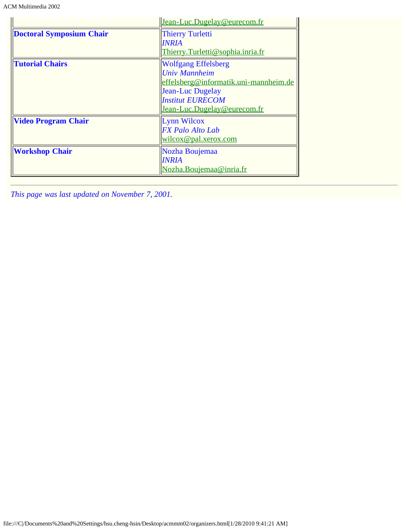|                                 | Jean-Luc.Dugelay@eurecom.fr           |
|---------------------------------|---------------------------------------|
| <b>Doctoral Symposium Chair</b> | <b>Thierry Turletti</b>               |
|                                 | INRIA                                 |
|                                 | Thierry.Turletti@sophia.inria.fr      |
| <b>Tutorial Chairs</b>          | <b>Wolfgang Effelsberg</b>            |
|                                 | <b>Univ Mannheim</b>                  |
|                                 | effelsberg@informatik.uni-mannheim.de |
|                                 | Jean-Luc Dugelay                      |
|                                 | <b>Institut EURECOM</b>               |
|                                 | Jean-Luc.Dugelay@eurecom.fr           |
| <b>Video Program Chair</b>      | Lynn Wilcox                           |
|                                 | <b>FX</b> Palo Alto Lab               |
|                                 | <u>wilcox@pal.xerox.com</u>           |
| <b>Workshop Chair</b>           | Nozha Boujemaa                        |
|                                 | <b>INRIA</b>                          |
|                                 | Nozha.Boujemaa@inria.fr               |

*This page was last updated on November 7, 2001.*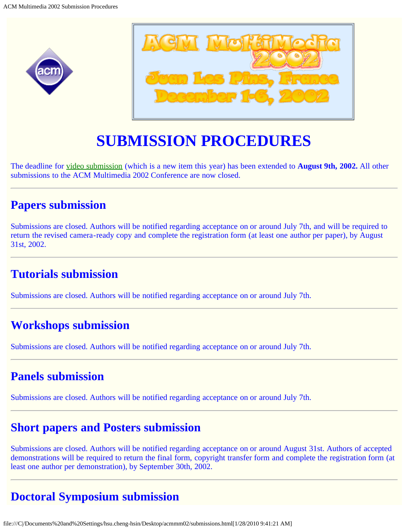<span id="page-6-0"></span>



# **SUBMISSION PROCEDURES**

The deadline for [video submission](#page-7-0) (which is a new item this year) has been extended to **August 9th, 2002.** All other submissions to the ACM Multimedia 2002 Conference are now closed.

### **Papers submission**

Submissions are closed. Authors will be notified regarding acceptance on or around July 7th, and will be required to return the revised camera-ready copy and complete the registration form (at least one author per paper), by August 31st, 2002.

### **Tutorials submission**

Submissions are closed. Authors will be notified regarding acceptance on or around July 7th.

### **Workshops submission**

Submissions are closed. Authors will be notified regarding acceptance on or around July 7th.

### **Panels submission**

Submissions are closed. Authors will be notified regarding acceptance on or around July 7th.

### **Short papers and Posters submission**

Submissions are closed. Authors will be notified regarding acceptance on or around August 31st. Authors of accepted demonstrations will be required to return the final form, copyright transfer form and complete the registration form (at least one author per demonstration), by September 30th, 2002.

## **Doctoral Symposium submission**

file:///C|/Documents%20and%20Settings/hsu.cheng-hsin/Desktop/acmmm02/submissions.html[1/28/2010 9:41:21 AM]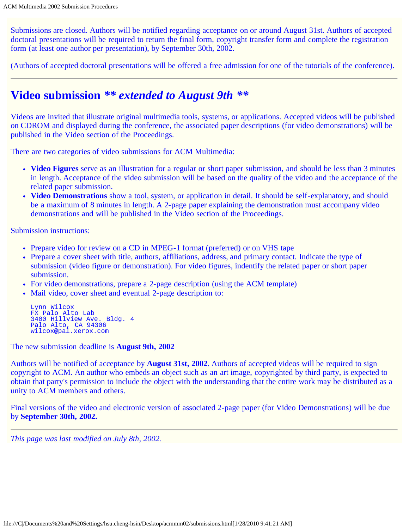Submissions are closed. Authors will be notified regarding acceptance on or around August 31st. Authors of accepted doctoral presentations will be required to return the final form, copyright transfer form and complete the registration form (at least one author per presentation), by September 30th, 2002.

(Authors of accepted doctoral presentations will be offered a free admission for one of the tutorials of the conference).

### **Video submission** *\*\* extended to August 9th \*\**

Videos are invited that illustrate original multimedia tools, systems, or applications. Accepted videos will be published on CDROM and displayed during the conference, the associated paper descriptions (for video demonstrations) will be published in the Video section of the Proceedings.

There are two categories of video submissions for ACM Multimedia:

- **Video Figures** serve as an illustration for a regular or short paper submission, and should be less than 3 minutes in length. Acceptance of the video submission will be based on the quality of the video and the acceptance of the related paper submission.
- **Video Demonstrations** show a tool, system, or application in detail. It should be self-explanatory, and should be a maximum of 8 minutes in length. A 2-page paper explaining the demonstration must accompany video demonstrations and will be published in the Video section of the Proceedings.

Submission instructions:

- Prepare video for review on a CD in MPEG-1 format (preferred) or on VHS tape
- Prepare a cover sheet with title, authors, affiliations, address, and primary contact. Indicate the type of submission (video figure or demonstration). For video figures, indentify the related paper or short paper submission.
- For video demonstrations, prepare a 2-page description (using the ACM template)
- Mail video, cover sheet and eventual 2-page description to:

```
Lynn Wilcox
FX Palo Alto Lab
3400 Hillview Ave. Bldg. 4
Palo Alto, CA 94306
wilcox@pal.xerox.com
```
The new submission deadline is **August 9th, 2002**

Authors will be notified of acceptance by **August 31st, 2002**. Authors of accepted videos will be required to sign copyright to ACM. An author who embeds an object such as an art image, copyrighted by third party, is expected to obtain that party's permission to include the object with the understanding that the entire work may be distributed as a unity to ACM members and others.

Final versions of the video and electronic version of associated 2-page paper (for Video Demonstrations) will be due by **September 30th, 2002.**

<span id="page-7-0"></span>*This page was last modified on July 8th, 2002.*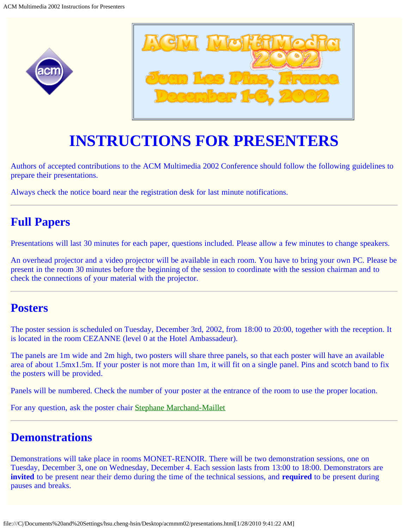<span id="page-8-0"></span>



# **INSTRUCTIONS FOR PRESENTERS**

Authors of accepted contributions to the ACM Multimedia 2002 Conference should follow the following guidelines to prepare their presentations.

Always check the notice board near the registration desk for last minute notifications.

### **Full Papers**

Presentations will last 30 minutes for each paper, questions included. Please allow a few minutes to change speakers.

An overhead projector and a video projector will be available in each room. You have to bring your own PC. Please be present in the room 30 minutes before the beginning of the session to coordinate with the session chairman and to check the connections of your material with the projector.

### **Posters**

The poster session is scheduled on Tuesday, December 3rd, 2002, from 18:00 to 20:00, together with the reception. It is located in the room CEZANNE (level 0 at the Hotel Ambassadeur).

The panels are 1m wide and 2m high, two posters will share three panels, so that each poster will have an available area of about 1.5mx1.5m. If your poster is not more than 1m, it will fit on a single panel. Pins and scotch band to fix the posters will be provided.

Panels will be numbered. Check the number of your poster at the entrance of the room to use the proper location.

For any question, ask the poster chair [Stephane Marchand-Maillet](javascript:if(confirm()

### **Demonstrations**

Demonstrations will take place in rooms MONET-RENOIR. There will be two demonstration sessions, one on Tuesday, December 3, one on Wednesday, December 4. Each session lasts from 13:00 to 18:00. Demonstrators are **invited** to be present near their demo during the time of the technical sessions, and **required** to be present during pauses and breaks.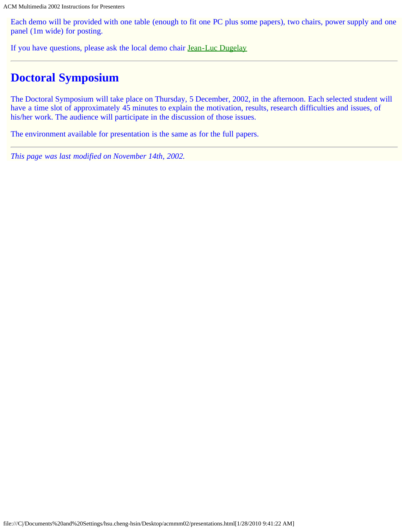Each demo will be provided with one table (enough to fit one PC plus some papers), two chairs, power supply and one panel (1m wide) for posting.

If you have questions, please ask the local demo chair **[Jean-Luc Dugelay](javascript:if(confirm()** 

### **Doctoral Symposium**

The Doctoral Symposium will take place on Thursday, 5 December, 2002, in the afternoon. Each selected student will have a time slot of approximately 45 minutes to explain the motivation, results, research difficulties and issues, of his/her work. The audience will participate in the discussion of those issues.

The environment available for presentation is the same as for the full papers.

*This page was last modified on November 14th, 2002.*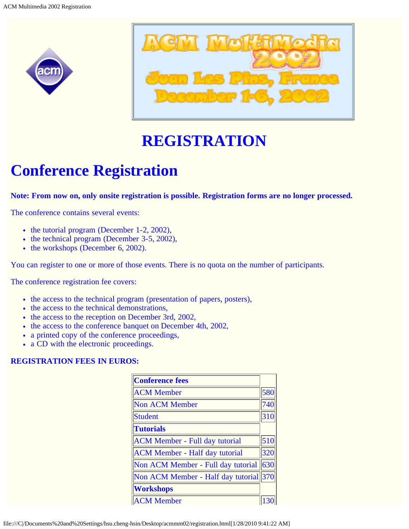<span id="page-10-0"></span>



# **REGISTRATION**

# **Conference Registration**

**Note: From now on, only onsite registration is possible. Registration forms are no longer processed.**

The conference contains several events:

- $\bullet$  the tutorial program (December 1-2, 2002),
- $\bullet$  the technical program (December 3-5, 2002),
- the workshops (December 6, 2002).

You can register to one or more of those events. There is no quota on the number of participants.

The conference registration fee covers:

- the access to the technical program (presentation of papers, posters),
- the access to the technical demonstrations,
- the access to the reception on December 3rd, 2002,
- the access to the conference banquet on December 4th, 2002,
- a printed copy of the conference proceedings,
- a CD with the electronic proceedings.

#### **REGISTRATION FEES IN EUROS:**

| <b>Conference fees</b>                 |     |
|----------------------------------------|-----|
| <b>ACM</b> Member                      | 580 |
| Non ACM Member                         | 740 |
| Student                                | 310 |
| <b>Tutorials</b>                       |     |
| <b>ACM Member - Full day tutorial</b>  | 510 |
| <b>ACM Member - Half day tutorial</b>  | 320 |
| Non ACM Member - Full day tutorial     | 630 |
| Non ACM Member - Half day tutorial 370 |     |
| <b>Workshops</b>                       |     |
| <b>ACM Member</b>                      |     |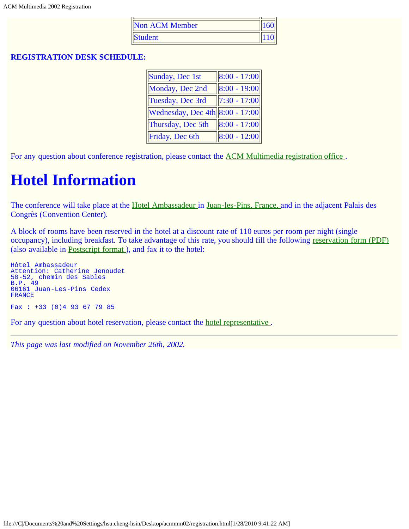| <b>Non ACM Member</b> | 1160 |
|-----------------------|------|
| <b>Student</b>        |      |

#### **REGISTRATION DESK SCHEDULE:**

| $\ 8:00 - 17:00\ $                |
|-----------------------------------|
| $\ 8:00 - 19:00\ $                |
| $\ 7:30 - 17:00\ $                |
| Wednesday, Dec 4th $8:00 - 17:00$ |
| $\ 8:00 - 17:00\ $                |
| $\ 8:00 - 12:00\ $                |
|                                   |

For any question about conference registration, please contact the [ACM Multimedia registration office](mailto:mm02-registration@eurecom.fr) .

## **Hotel Information**

The conference will take place at the [Hotel Ambassadeur i](javascript:if(confirm()n [Juan-les-Pins, France,](javascript:if(confirm() and in the adjacent Palais des Congrès (Convention Center).

A block of rooms have been reserved in the hotel at a discount rate of 110 euros per room per night (single occupancy), including breakfast. To take advantage of this rate, you should fill the following [reservation form \(PDF\)](#page-28-0) (also available in [Postscript format](javascript:if(confirm() ), and fax it to the hotel:

```
Hôtel Ambassadeur
Attention: Catherine Jenoudet
50-52, chemin des Sables
B.P. 49
06161 Juan-Les-Pins Cedex
FRANCE
Fax : +33 (0) 4 93 67 79 85
```
For any question about hotel reservation, please contact the [hotel representative .](mailto:cjenoudet@hotel-ambassadeur.com)

*This page was last modified on November 26th, 2002.*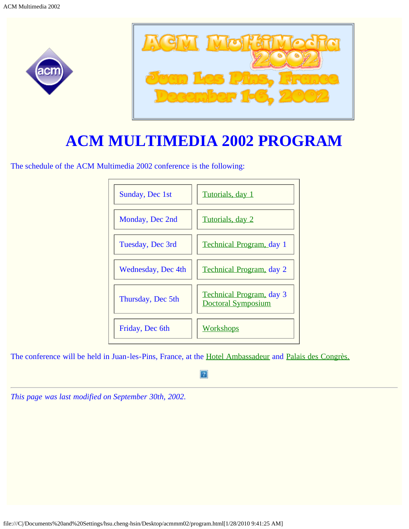<span id="page-12-0"></span>



# **ACM MULTIMEDIA 2002 PROGRAM**

The schedule of the ACM Multimedia 2002 conference is the following:



The conference will be held in Juan-les-Pins, France, at the [Hotel Ambassadeur](javascript:if(confirm() and [Palais des Congrès.](javascript:if(confirm()

#### $\mathbf{P}$

*This page was last modified on September 30th, 2002.*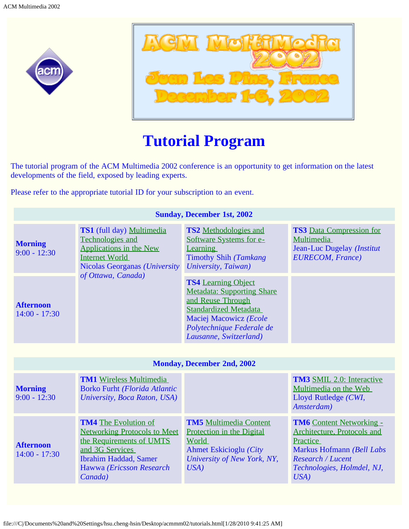<span id="page-13-0"></span>



# **Tutorial Program**

The tutorial program of the ACM Multimedia 2002 conference is an opportunity to get information on the latest developments of the field, exposed by leading experts.

Please refer to the appropriate tutorial ID for your subscription to an event.

| <b>Sunday, December 1st, 2002</b>   |                                                                                                                                                                                          |                                                                                                                                                                                                       |                                                                                                                                                                           |
|-------------------------------------|------------------------------------------------------------------------------------------------------------------------------------------------------------------------------------------|-------------------------------------------------------------------------------------------------------------------------------------------------------------------------------------------------------|---------------------------------------------------------------------------------------------------------------------------------------------------------------------------|
| <b>Morning</b><br>$9:00 - 12:30$    | TS1 (full day) Multimedia<br>Technologies and<br><b>Applications in the New</b><br>Internet World<br>Nicolas Georganas (University                                                       | <b>TS2</b> Methodologies and<br>Software Systems for e-<br>Learning<br>Timothy Shih (Tamkang<br>University, Taiwan)                                                                                   | <b>TS3</b> Data Compression for<br>Multimedia<br>Jean-Luc Dugelay (Institut<br><b>EURECOM, France)</b>                                                                    |
| <b>Afternoon</b><br>$14:00 - 17:30$ | of Ottawa, Canada)                                                                                                                                                                       | <b>TS4</b> Learning Object<br><b>Metadata: Supporting Share</b><br>and Reuse Through<br><b>Standardized Metadata</b><br>Maciej Macowicz (Ecole<br>Polytechnique Federale de<br>Lausanne, Switzerland) |                                                                                                                                                                           |
|                                     |                                                                                                                                                                                          |                                                                                                                                                                                                       |                                                                                                                                                                           |
|                                     |                                                                                                                                                                                          | <b>Monday, December 2nd, 2002</b>                                                                                                                                                                     |                                                                                                                                                                           |
| <b>Morning</b><br>$9:00 - 12:30$    | <b>TM1</b> Wireless Multimedia<br><b>Borko Furht (Florida Atlantic</b><br>University, Boca Raton, USA)                                                                                   |                                                                                                                                                                                                       | <b>TM3</b> SMIL 2.0: Interactive<br>Multimedia on the Web<br>Lloyd Rutledge (CWI,<br>Amsterdam)                                                                           |
| <b>Afternoon</b><br>$14:00 - 17:30$ | <b>TM4</b> The Evolution of<br><b>Networking Protocols to Meet</b><br>the Requirements of UMTS<br>and 3G Services<br><b>Ibrahim Haddad, Samer</b><br>Hawwa (Ericsson Research<br>Canada) | <b>TM5</b> Multimedia Content<br>Protection in the Digital<br>World<br><b>Ahmet Eskicioglu</b> (City<br>University of New York, NY,<br>USA)                                                           | <b>TM6</b> Content Networking -<br>Architecture, Protocols and<br>Practice<br>Markus Hofmann (Bell Labs<br><b>Research / Lucent</b><br>Technologies, Holmdel, NJ,<br>USA) |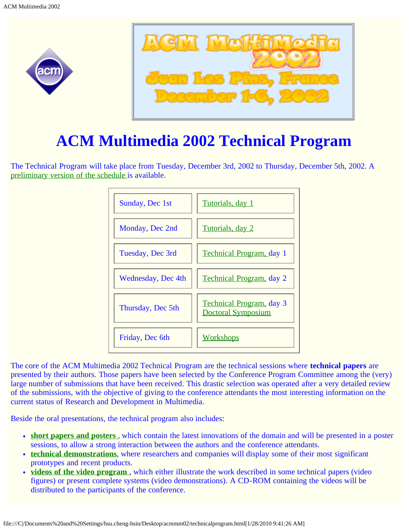<span id="page-14-0"></span>



# **ACM Multimedia 2002 Technical Program**

The Technical Program will take place from Tuesday, December 3rd, 2002 to Thursday, December 5th, 2002. A [preliminary version of the schedule i](javascript:if(confirm()s available.



The core of the ACM Multimedia 2002 Technical Program are the technical sessions where **technical papers** are presented by their authors. Those papers have been selected by the Conference Program Committee among the (very) large number of submissions that have been received. This drastic selection was operated after a very detailed review of the submissions, with the objective of giving to the conference attendants the most interesting information on the current status of Research and Development in Multimedia.

Beside the oral presentations, the technical program also includes:

- **[short papers and posters](javascript:if(confirm()** [,](javascript:if(confirm() which contain the latest innovations of the domain and will be presented in a poster sessions, to allow a strong interaction between the authors and the conference attendants.
- **[technical demonstrations](javascript:if(confirm()**, where researchers and companies will display some of their most significant prototypes and recent products.
- **[videos of the video program](#page-17-0)** [,](#page-17-0) which either illustrate the work described in some technical papers (video figures) or present complete systems (video demonstrations). A CD-ROM containing the videos will be distributed to the participants of the conference.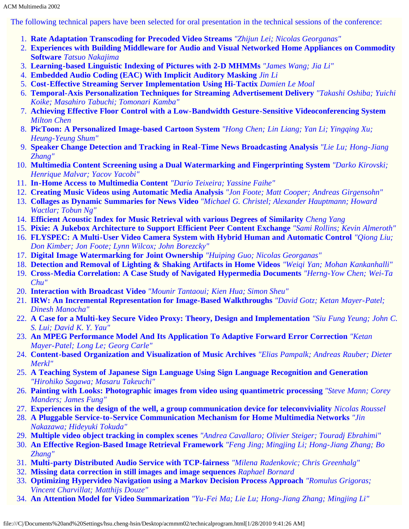The following technical papers have been selected for oral presentation in the technical sessions of the conference:

- 1. **Rate Adaptation Transcoding for Precoded Video Streams** *"Zhijun Lei; Nicolas Georganas"*
- 2. **Experiences with Building Middleware for Audio and Visual Networked Home Appliances on Commodity Software** *Tatsuo Nakajima*
- 3. **Learning-based Linguistic Indexing of Pictures with 2-D MHMMs** *"James Wang; Jia Li"*
- 4. **Embedded Audio Coding (EAC) With Implicit Auditory Masking** *Jin Li*
- 5. **Cost-Effective Streaming Server Implementation Using Hi-Tactix** *Damien Le Moal*
- 6. **Temporal-Axis Personalization Techniques for Streaming Advertisement Delivery** *"Takashi Oshiba; Yuichi Koike; Masahiro Tabuchi; Tomonari Kamba"*
- 7. **Achieving Effective Floor Control with a Low-Bandwidth Gesture-Sensitive Videoconferencing System** *Milton Chen*
- 8. **PicToon: A Personalized Image-based Cartoon System** *"Hong Chen; Lin Liang; Yan Li; Yingqing Xu; Heung-Yeung Shum"*
- 9. **Speaker Change Detection and Tracking in Real-Time News Broadcasting Analysis** *"Lie Lu; Hong-Jiang Zhang"*
- 10. **Multimedia Content Screening using a Dual Watermarking and Fingerprinting System** *"Darko Kirovski; Henrique Malvar; Yacov Yacobi"*
- 11. **In-Home Access to Multimedia Content** *"Dario Teixeira; Yassine Faihe"*
- 12. **Creating Music Videos using Automatic Media Analysis** *"Jon Foote; Matt Cooper; Andreas Girgensohn"*
- 13. **Collages as Dynamic Summaries for News Video** *"Michael G. Christel; Alexander Hauptmann; Howard Wactlar; Tobun Ng"*
- 14. **Efficient Acoustic Index for Music Retrieval with various Degrees of Similarity** *Cheng Yang*
- 15. **Pixie: A Jukebox Architecture to Support Efficient Peer Content Exchange** *"Sami Rollins; Kevin Almeroth"*
- 16. **FLYSPEC: A Multi-User Video Camera System with Hybrid Human and Automatic Control** *"Qiong Liu; Don Kimber; Jon Foote; Lynn Wilcox; John Borezcky"*
- 17. **Digital Image Watermarking for Joint Ownership** *"Huiping Guo; Nicolas Georganas"*
- 18. **Detection and Removal of Lighting & Shaking Artifacts in Home Videos** *"Weiqi Yan; Mohan Kankanhalli"*
- 19. **Cross-Media Correlation: A Case Study of Navigated Hypermedia Documents** *"Herng-Yow Chen; Wei-Ta Chu"*
- 20. **Interaction with Broadcast Video** *"Mounir Tantaoui; Kien Hua; Simon Sheu"*
- 21. **IRW: An Incremental Representation for Image-Based Walkthroughs** *"David Gotz; Ketan Mayer-Patel; Dinesh Manocha"*
- 22. **A Case for a Multi-key Secure Video Proxy: Theory, Design and Implementation** *"Siu Fung Yeung; John C. S. Lui; David K. Y. Yau"*
- 23. **An MPEG Performance Model And Its Application To Adaptive Forward Error Correction** *"Ketan Mayer-Patel; Long Le; Georg Carle"*
- 24. **Content-based Organization and Visualization of Music Archives** *"Elias Pampalk; Andreas Rauber; Dieter Merkl"*
- 25. **A Teaching System of Japanese Sign Language Using Sign Language Recognition and Generation** *"Hirohiko Sagawa; Masaru Takeuchi"*
- 26. **Painting with Looks: Photographic images from video using quantimetric processing** *"Steve Mann; Corey Manders; James Fung"*
- 27. **Experiences in the design of the well, a group communication device for teleconviviality** *Nicolas Roussel*
- 28. **A Pluggable Service-to-Service Communication Mechanism for Home Multimedia Networks** *"Jin Nakazawa; Hideyuki Tokuda"*
- 29. **Multiple video object tracking in complex scenes** *"Andrea Cavallaro; Olivier Steiger; Touradj Ebrahimi"*
- 30. **An Effective Region-Based Image Retrieval Framework** *"Feng Jing; Mingjing Li; Hong-Jiang Zhang; Bo Zhang"*
- 31. **Multi-party Distributed Audio Service with TCP-fairness** *"Milena Radenkovic; Chris Greenhalg"*
- 32. **Missing data correction in still images and image sequences** *Raphael Bornard*
- 33. **Optimizing Hypervideo Navigation using a Markov Decision Process Approach** *"Romulus Grigoras; Vincent Charvillat; Matthijs Douze"*
- 34. **An Attention Model for Video Summarization** *"Yu-Fei Ma; Lie Lu; Hong-Jiang Zhang; Mingjing Li"*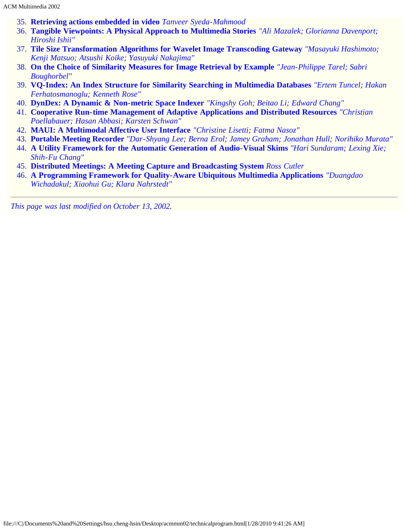- 35. **Retrieving actions embedded in video** *Tanveer Syeda-Mahmood*
- 36. **Tangible Viewpoints: A Physical Approach to Multimedia Stories** *"Ali Mazalek; Glorianna Davenport; Hiroshi Ishii"*
- 37. **Tile Size Transformation Algorithms for Wavelet Image Transcoding Gateway** *"Masayuki Hashimoto; Kenji Matsuo; Atsushi Koike; Yasuyuki Nakajima"*
- 38. **On the Choice of Similarity Measures for Image Retrieval by Example** *"Jean-Philippe Tarel; Sabri Boughorbel"*
- 39. **VQ-Index: An Index Structure for Similarity Searching in Multimedia Databases** *"Ertem Tuncel; Hakan Ferhatosmanoglu; Kenneth Rose"*
- 40. **DynDex: A Dynamic & Non-metric Space Indexer** *"Kingshy Goh; Beitao Li; Edward Chang"*
- 41. **Cooperative Run-time Management of Adaptive Applications and Distributed Resources** *"Christian Poellabauer; Hasan Abbasi; Karsten Schwan"*
- 42. **MAUI: A Multimodal Affective User Interface** *"Christine Lisetti; Fatma Nasoz"*
- 43. **Portable Meeting Recorder** *"Dar-Shyang Lee; Berna Erol; Jamey Graham; Jonathan Hull; Norihiko Murata"*
- 44. **A Utility Framework for the Automatic Generation of Audio-Visual Skims** *"Hari Sundaram; Lexing Xie; Shih-Fu Chang"*
- 45. **Distributed Meetings: A Meeting Capture and Broadcasting System** *Ross Cutler*
- 46. **A Programming Framework for Quality-Aware Ubiquitous Multimedia Applications** *"Duangdao Wichadakul; Xiaohui Gu; Klara Nahrstedt"*

*This page was last modified on October 13, 2002.*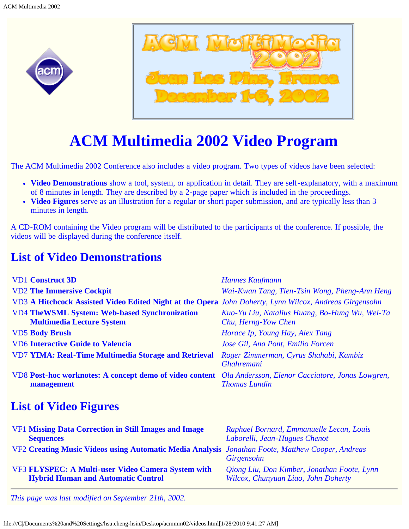<span id="page-17-0"></span>



## **ACM Multimedia 2002 Video Program**

The ACM Multimedia 2002 Conference also includes a video program. Two types of videos have been selected:

- **Video Demonstrations** show a tool, system, or application in detail. They are self-explanatory, with a maximum of 8 minutes in length. They are described by a 2-page paper which is included in the proceedings.
- **Video Figures** serve as an illustration for a regular or short paper submission, and are typically less than 3 minutes in length.

A CD-ROM containing the Video program will be distributed to the participants of the conference. If possible, the videos will be displayed during the conference itself.

### **List of Video Demonstrations**

| <b>VD1</b> Construct 3D                                                                                                | Hannes Kaufmann                                                       |
|------------------------------------------------------------------------------------------------------------------------|-----------------------------------------------------------------------|
| <b>VD2 The Immersive Cockpit</b>                                                                                       | Wai-Kwan Tang, Tien-Tsin Wong, Pheng-Ann Heng                         |
| VD3 A Hitchcock Assisted Video Edited Night at the Opera John Doherty, Lynn Wilcox, Andreas Girgensohn                 |                                                                       |
| <b>VD4 TheWSML System: Web-based Synchronization</b><br><b>Multimedia Lecture System</b>                               | Kuo-Yu Liu, Natalius Huang, Bo-Hung Wu, Wei-Ta<br>Chu, Herng-Yow Chen |
| <b>VD5 Body Brush</b>                                                                                                  | Horace Ip, Young Hay, Alex Tang                                       |
| <b>VD6 Interactive Guide to Valencia</b>                                                                               | Jose Gil, Ana Pont, Emilio Forcen                                     |
| <b>VD7 YIMA: Real-Time Multimedia Storage and Retrieval</b>                                                            | Roger Zimmerman, Cyrus Shahabi, Kambiz<br><b>Ghahremani</b>           |
| VD8 Post-hoc worknotes: A concept demo of video content Ola Andersson, Elenor Cacciatore, Jonas Lowgren,<br>management | <b>Thomas Lundin</b>                                                  |
|                                                                                                                        |                                                                       |

### **List of Video Figures**

| <b>VF1 Missing Data Correction in Still Images and Image</b>                                     | Raphael Bornard, Emmanuelle Lecan, Louis    |
|--------------------------------------------------------------------------------------------------|---------------------------------------------|
| <b>Sequences</b>                                                                                 | Laborelli, Jean-Hugues Chenot               |
| VF2 Creating Music Videos using Automatic Media Analysis Jonathan Foote, Matthew Cooper, Andreas | Girgensohn                                  |
| VF3 FLYSPEC: A Multi-user Video Camera System with                                               | Qiong Liu, Don Kimber, Jonathan Foote, Lynn |
| <b>Hybrid Human and Automatic Control</b>                                                        | Wilcox, Chunyuan Liao, John Doherty         |

*This page was last modified on September 21th, 2002.*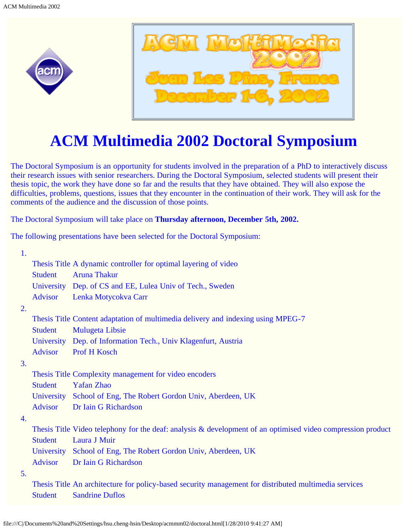<span id="page-18-0"></span>



# **ACM Multimedia 2002 Doctoral Symposium**

The Doctoral Symposium is an opportunity for students involved in the preparation of a PhD to interactively discuss their research issues with senior researchers. During the Doctoral Symposium, selected students will present their thesis topic, the work they have done so far and the results that they have obtained. They will also expose the difficulties, problems, questions, issues that they encounter in the continuation of their work. They will ask for the comments of the audience and the discussion of those points.

The Doctoral Symposium will take place on **Thursday afternoon, December 5th, 2002.**

The following presentations have been selected for the Doctoral Symposium:

| 1. |                |                                                                                                             |
|----|----------------|-------------------------------------------------------------------------------------------------------------|
|    |                | Thesis Title A dynamic controller for optimal layering of video                                             |
|    | <b>Student</b> | <b>Aruna Thakur</b>                                                                                         |
|    |                | University Dep. of CS and EE, Lulea Univ of Tech., Sweden                                                   |
|    | <b>Advisor</b> | Lenka Motycokva Carr                                                                                        |
| 2. |                |                                                                                                             |
|    |                | Thesis Title Content adaptation of multimedia delivery and indexing using MPEG-7                            |
|    | <b>Student</b> | <b>Mulugeta Libsie</b>                                                                                      |
|    |                | University Dep. of Information Tech., Univ Klagenfurt, Austria                                              |
|    | <b>Advisor</b> | Prof H Kosch                                                                                                |
| 3. |                |                                                                                                             |
|    |                | Thesis Title Complexity management for video encoders                                                       |
|    | <b>Student</b> | <b>Yafan Zhao</b>                                                                                           |
|    |                | University School of Eng, The Robert Gordon Univ, Aberdeen, UK                                              |
|    | <b>Advisor</b> | Dr Iain G Richardson                                                                                        |
| 4. |                |                                                                                                             |
|    |                | Thesis Title Video telephony for the deaf: analysis & development of an optimised video compression product |
|    | <b>Student</b> | Laura J Muir                                                                                                |
|    |                | University School of Eng, The Robert Gordon Univ, Aberdeen, UK                                              |
|    | <b>Advisor</b> | Dr Iain G Richardson                                                                                        |
| 5. |                |                                                                                                             |
|    |                | Thesis Title An architecture for policy-based security management for distributed multimedia services       |
|    | <b>Student</b> | <b>Sandrine Duflos</b>                                                                                      |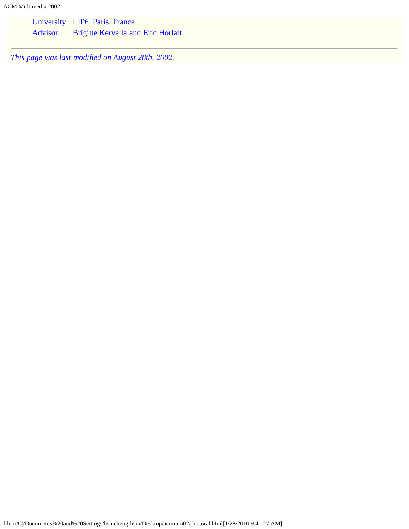ACM Multimedia 2002

|         | University LIP6, Paris, France            |
|---------|-------------------------------------------|
| Advisor | <b>Brigitte Kervella and Eric Horlait</b> |

*This page was last modified on August 28th, 2002.*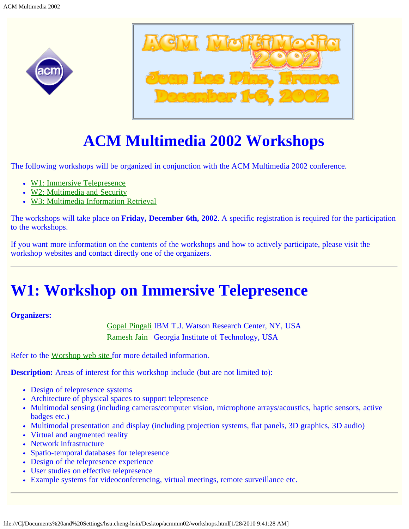<span id="page-20-0"></span>



# **ACM Multimedia 2002 Workshops**

The following workshops will be organized in conjunction with the ACM Multimedia 2002 conference.

- [W1: Immersive Telepresence](#page-20-1)
- [W2: Multimedia and Security](#page-20-2)
- [W3: Multimedia Information Retrieval](#page-21-0)

The workshops will take place on **Friday, December 6th, 2002**. A specific registration is required for the participation to the workshops.

If you want more information on the contents of the workshops and how to actively participate, please visit the workshop websites and contact directly one of the organizers.

## <span id="page-20-1"></span>**W1: Workshop on Immersive Telepresence**

#### **Organizers:**

[Gopal Pingali](mailto:gpingali@us.ibm.com) IBM T.J. Watson Research Center, NY, USA [Ramesh Jain](mailto:jain@ece.gatech.edu) Georgia Institute of Technology, USA

Refer to the [Worshop web site f](javascript:if(confirm()or more detailed information.

**Description:** Areas of interest for this workshop include (but are not limited to):

- Design of telepresence systems
- Architecture of physical spaces to support telepresence
- Multimodal sensing (including cameras/computer vision, microphone arrays/acoustics, haptic sensors, active badges etc.)
- Multimodal presentation and display (including projection systems, flat panels, 3D graphics, 3D audio)
- Virtual and augmented reality
- Network infrastructure
- Spatio-temporal databases for telepresence
- Design of the telepresence experience
- User studies on effective telepresence
- <span id="page-20-2"></span>Example systems for videoconferencing, virtual meetings, remote surveillance etc.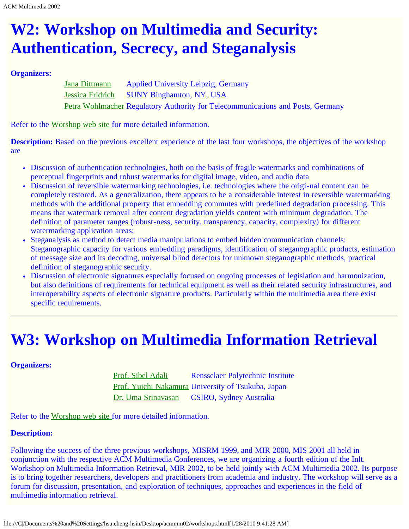# **W2: Workshop on Multimedia and Security: Authentication, Secrecy, and Steganalysis**

#### **Organizers:**

[Jana Dittmann](mailto:dittmann@imn.htwk-leipzig.de) Applied University Leipzig, Germany [Jessica Fridrich](mailto:fridrich@binghamton.edu) SUNY Binghamton, NY, USA [Petra Wohlmacher](mailto:petra.wohlmacher@regtp.de) Regulatory Authority for Telecommunications and Posts, Germany

Refer to the [Worshop web site f](javascript:if(confirm()or more detailed information.

**Description:** Based on the previous excellent experience of the last four workshops, the objectives of the workshop are

- Discussion of authentication technologies, both on the basis of fragile watermarks and combinations of perceptual fingerprints and robust watermarks for digital image, video, and audio data
- Discussion of reversible watermarking technologies, i.e. technologies where the origi-nal content can be completely restored. As a generalization, there appears to be a considerable interest in reversible watermarking methods with the additional property that embedding commutes with predefined degradation processing. This means that watermark removal after content degradation yields content with minimum degradation. The definition of parameter ranges (robust-ness, security, transparency, capacity, complexity) for different watermarking application areas;
- Steganalysis as method to detect media manipulations to embed hidden communication channels: Steganographic capacity for various embedding paradigms, identification of steganographic products, estimation of message size and its decoding, universal blind detectors for unknown steganographic methods, practical definition of steganographic security.
- Discussion of electronic signatures especially focused on ongoing processes of legislation and harmonization, but also definitions of requirements for technical equipment as well as their related security infrastructures, and interoperability aspects of electronic signature products. Particularly within the multimedia area there exist specific requirements.

## <span id="page-21-0"></span>**W3: Workshop on Multimedia Information Retrieval**

#### **Organizers:**

[Prof. Sibel Adali](mailto:sibel@cs.rpi.edu) Rensselaer Polytechnic Institute [Prof. Yuichi Nakamura](mailto:yuichi@image.esys.tsukuba.ac.jp) University of Tsukuba, Japan [Dr. Uma Srinavasan](mailto:Uma.Srinivasan@csiro.au) CSIRO, Sydney Australia

Refer to the [Worshop web site f](javascript:if(confirm()or more detailed information.

#### **Description:**

Following the success of the three previous workshops, MISRM 1999, and MIR 2000, MIS 2001 all held in conjunction with the respective ACM Multimedia Conferences, we are organizing a fourth edition of the Inlt. Workshop on Multimedia Information Retrieval, MIR 2002, to be held jointly with ACM Multimedia 2002. Its purpose is to bring together researchers, developers and practitioners from academia and industry. The workshop will serve as a forum for discussion, presentation, and exploration of techniques, approaches and experiences in the field of multimedia information retrieval.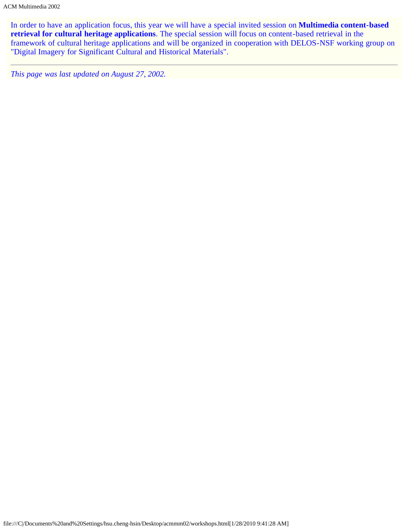In order to have an application focus, this year we will have a special invited session on **Multimedia content-based retrieval for cultural heritage applications**. The special session will focus on content-based retrieval in the framework of cultural heritage applications and will be organized in cooperation with DELOS-NSF working group on "Digital Imagery for Significant Cultural and Historical Materials".

*This page was last updated on August 27, 2002.*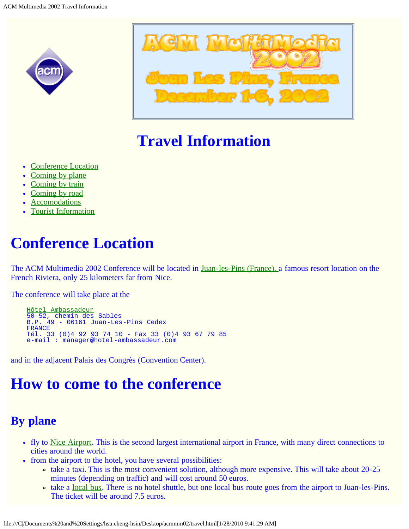<span id="page-23-0"></span>



# **Travel Information**

- [Conference Location](#page-23-1)
- [Coming by plane](#page-23-2)
- [Coming by train](#page-24-0)
- [Coming by road](#page-24-1)
- [Accomodations](#page-24-2)
- [Tourist Information](#page-23-0)

# <span id="page-23-1"></span>**Conference Location**

The ACM Multimedia 2002 Conference will be located in [Juan-les-Pins \(France\),](javascript:if(confirm() a famous resort location on the French Riviera, only 25 kilometers far from Nice.

The conference will take place at the

 [Hôtel Ambassadeur](javascript:if(confirm() 50-52, chemin des Sables B.P. 49 - 06161 Juan-Les-Pins Cedex FRANCE Tél. 33 (0)4 92 93 74 10 - Fax 33 (0)4 93 67 79 85 e-mail : manager@hotel-ambassadeur.com

and in the adjacent Palais des Congrès (Convention Center).

## **How to come to the conference**

### <span id="page-23-2"></span>**By plane**

- fly to [Nice Airport](javascript:if(confirm(). This is the second largest international airport in France, with many direct connections to cities around the world.
- from the airport to the hotel, you have several possibilities:
	- take a taxi. This is the most convenient solution, although more expensive. This will take about 20-25 minutes (depending on traffic) and will cost around 50 euros.
	- take a <u>local bus</u>. There is no hotel shuttle, but one [local bus](javascript:if(confirm() route goes from the airport to Juan-les-Pins. The ticket will be around 7.5 euros.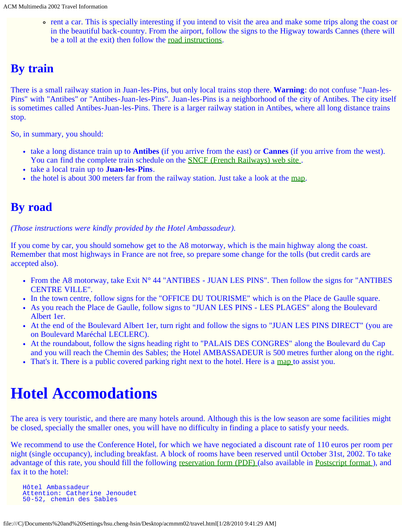rent a car. This is specially interesting if you intend to visit the area and make some trips along the coast or in the beautiful back-country. From the airport, follow the signs to the Higway towards Cannes (there will be a toll at the exit) then follow the [road instructions.](#page-24-1)

### <span id="page-24-0"></span>**By train**

There is a small railway station in Juan-les-Pins, but only local trains stop there. **Warning**: do not confuse "Juan-les-Pins" with "Antibes" or "Antibes-Juan-les-Pins". Juan-les-Pins is a neighborhood of the city of Antibes. The city itself is sometimes called Antibes-Juan-les-Pins. There is a larger railway station in Antibes, where all long distance trains stop.

So, in summary, you should:

- take a long distance train up to **Antibes** (if you arrive from the east) or **Cannes** (if you arrive from the west). You can find the complete train schedule on the **SNCF** (French Railways) web site.
- take a local train up to **Juan-les-Pins**.
- the hotel is about 300 meters far from the railway station. Just take a look at the [map](#page-59-0).

### <span id="page-24-1"></span>**By road**

*(Those instructions were kindly provided by the Hotel Ambassadeur).*

If you come by car, you should somehow get to the A8 motorway, which is the main highway along the coast. Remember that most highways in France are not free, so prepare some change for the tolls (but credit cards are accepted also).

- From the A8 motorway, take Exit  $N^{\circ}$  44 "ANTIBES JUAN LES PINS". Then follow the signs for "ANTIBES" CENTRE VILLE".
- In the town centre, follow signs for the "OFFICE DU TOURISME" which is on the Place de Gaulle square.
- As you reach the Place de Gaulle, follow signs to "JUAN LES PINS LES PLAGES" along the Boulevard Albert 1er.
- At the end of the Boulevard Albert 1er, turn right and follow the signs to "JUAN LES PINS DIRECT" (you are on Boulevard Maréchal LECLERC).
- At the roundabout, follow the signs heading right to "PALAIS DES CONGRES" along the Boulevard du Cap and you will reach the Chemin des Sables; the Hotel AMBASSADEUR is 500 metres further along on the right.
- That's it. There is a public covered parking right next to the hotel. Here is a [map](javascript:if(confirm() to assist you.

# <span id="page-24-2"></span>**Hotel Accomodations**

The area is very touristic, and there are many hotels around. Although this is the low season are some facilities might be closed, specially the smaller ones, you will have no difficulty in finding a place to satisfy your needs.

We recommend to use the Conference Hotel, for which we have negociated a discount rate of 110 euros per room per night (single occupancy), including breakfast. A block of rooms have been reserved until October 31st, 2002. To take advantage of this rate, you should fill the following [reservation form \(PDF\) \(](#page-28-0)also available in Postscript format), and fax it to the hotel:

```
 Hôtel Ambassadeur
 Attention: Catherine Jenoudet
 50-52, chemin des Sables
```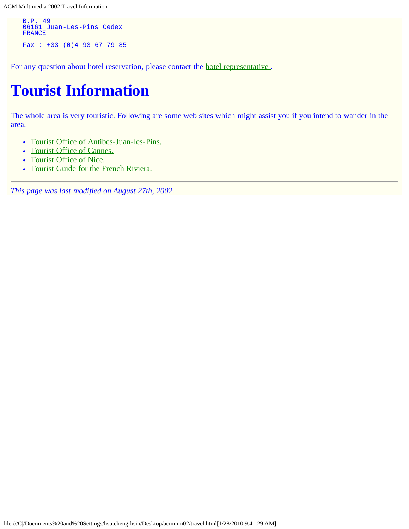ACM Multimedia 2002 Travel Information

```
B.P. 49
 06161 Juan-Les-Pins Cedex
   FRANCE
  Fax : +33 (0)4 93 67 79 85
```
For any question about hotel reservation, please contact the [hotel representative .](mailto:cjenoudet@hotel-ambassadeur.com)

## **Tourist Information**

The whole area is very touristic. Following are some web sites which might assist you if you intend to wander in the area.

- [Tourist Office of Antibes-Juan-les-Pins.](javascript:if(confirm()
- [Tourist Office of Cannes.](javascript:if(confirm()
- [Tourist Office of Nice.](javascript:if(confirm()
- [Tourist Guide for the French Riviera.](javascript:if(confirm()

*This page was last modified on August 27th, 2002.*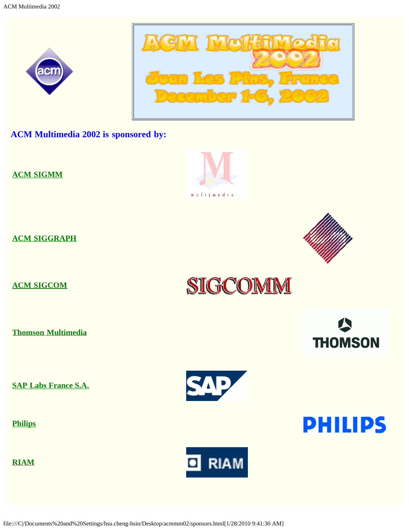<span id="page-26-0"></span>



**ACM Multimedia 2002 is sponsored by:**

**[ACM SIGMM](javascript:if(confirm()**

**[ACM SIGGRAPH](javascript:if(confirm()**

**[ACM SIGCOM](javascript:if(confirm()**

**[Thomson Multimedia](javascript:if(confirm()**

**[SAP Labs France S.A.](javascript:if(confirm()**

**[Philips](javascript:if(confirm()**

**[RIAM](javascript:if(confirm()**



**MULTIMEdia** 





SIGCOMM

**THOMSON** 

**PHILIPS** 

file:///C|/Documents%20and%20Settings/hsu.cheng-hsin/Desktop/acmmm02/sponsors.html[1/28/2010 9:41:30 AM]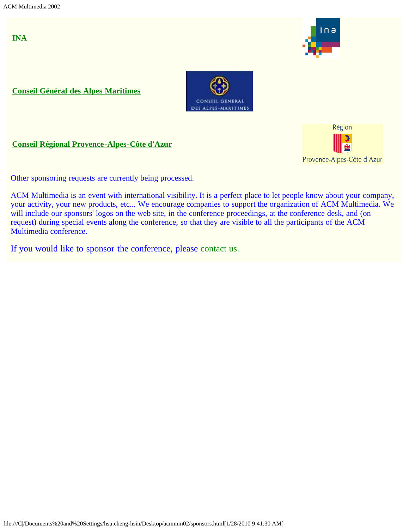**[INA](javascript:if(confirm()**



**[Conseil Général des Alpes Maritimes](javascript:if(confirm()**



#### **[Conseil Régional Provence-Alpes-Côte d'Azur](javascript:if(confirm()**



Other sponsoring requests are currently being processed.

ACM Multimedia is an event with international visibility. It is a perfect place to let people know about your company, your activity, your new products, etc... We encourage companies to support the organization of ACM Multimedia. We will include our sponsors' logos on the web site, in the conference proceedings, at the conference desk, and (on request) during special events along the conference, so that they are visible to all the participants of the ACM Multimedia conference.

If you would like to sponsor the conference, please [contact us.](mailto:Bernard.Merialdo@eurecom.fr)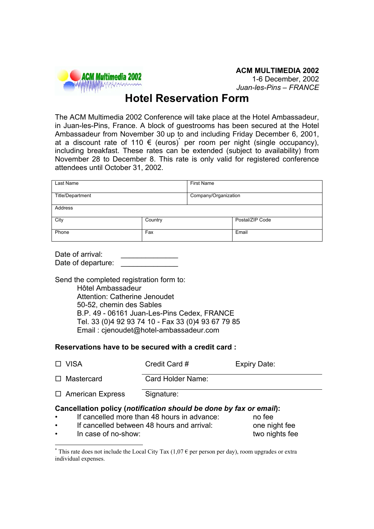<span id="page-28-0"></span>

### **Hotel Reservation Form**

The ACM Multimedia 2002 Conference will take place at the Hotel Ambassadeur, in Juan-les-Pins, France. A block of guestrooms has been secured at the Hotel Ambassadeur from November 30 up to and including Friday December 6, 2001, at a discount rate of 110 € (euros)<sup>\*</sup> per room per night (single occupancy), including breakfast. These rates can be extended (subject to availability) from November 28 to December 8. This rate is only valid for registered conference attendees until October 31, 2002.

| Last Name        |         | <b>First Name</b>    |                 |  |
|------------------|---------|----------------------|-----------------|--|
| Title/Department |         | Company/Organization |                 |  |
| Address          |         |                      |                 |  |
| City             | Country |                      | Postal/ZIP Code |  |
| Phone            | Fax     |                      | Email           |  |

| Date of arrival:   |  |
|--------------------|--|
| Date of departure: |  |

Send the completed registration form to: Hôtel Ambassadeur Attention: Catherine Jenoudet 50-52, chemin des Sables B.P. 49 - 06161 Juan-Les-Pins Cedex, FRANCE Tel. 33 (0)4 92 93 74 10 - Fax 33 (0)4 93 67 79 85 Email : cjenoudet@hotel-ambassadeur.com

#### **Reservations have to be secured with a credit card :**

| $\Box$ VISA             | Credit Card #     | Expiry Date: |
|-------------------------|-------------------|--------------|
| $\Box$ Mastercard       | Card Holder Name: |              |
| $\Box$ American Express | Signature:        |              |

#### **Cancellation policy (***notification should be done by fax or email***):**

- If cancelled more than 48 hours in advance: no fee
- If cancelled between 48 hours and arrival: one night fee
- In case of no-show: two nights fee

 <sup>\*</sup> This rate does not include the Local City Tax  $(1,07 \in \text{per person per day})$ , room upgrades or extra individual expenses.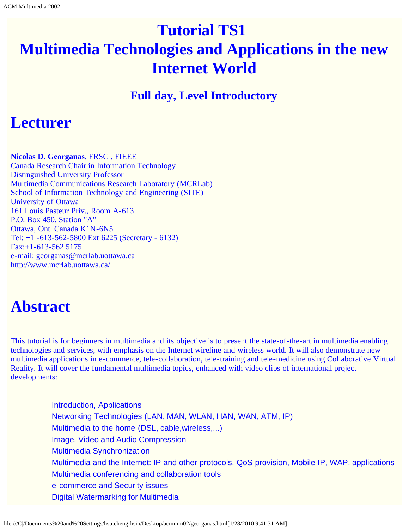# <span id="page-29-0"></span>**Tutorial TS1 Multimedia Technologies and Applications in the new Internet World**

### **Full day, Level Introductory**

## **Lecturer**

**Nicolas D. Georganas**, FRSC , FIEEE Canada Research Chair in Information Technology Distinguished University Professor Multimedia Communications Research Laboratory (MCRLab) School of Information Technology and Engineering (SITE) University of Ottawa 161 Louis Pasteur Priv., Room A-613 P.O. Box 450, Station "A" Ottawa, Ont. Canada K1N-6N5 Tel: +1 -613-562-5800 Ext 6225 (Secretary - 6132) Fax:+1-613-562 5175 e-mail: georganas@mcrlab.uottawa.ca http://www.mcrlab.uottawa.ca/

## **Abstract**

This tutorial is for beginners in multimedia and its objective is to present the state-of-the-art in multimedia enabling technologies and services, with emphasis on the Internet wireline and wireless world. It will also demonstrate new multimedia applications in e-commerce, tele-collaboration, tele-training and tele-medicine using Collaborative Virtual Reality. It will cover the fundamental multimedia topics, enhanced with video clips of international project developments:

> Introduction, Applications Networking Technologies (LAN, MAN, WLAN, HAN, WAN, ATM, IP) Multimedia to the home (DSL, cable,wireless,...) Image, Video and Audio Compression Multimedia Synchronization Multimedia and the Internet: IP and other protocols, QoS provision, Mobile IP, WAP, applications Multimedia conferencing and collaboration tools e-commerce and Security issues Digital Watermarking for Multimedia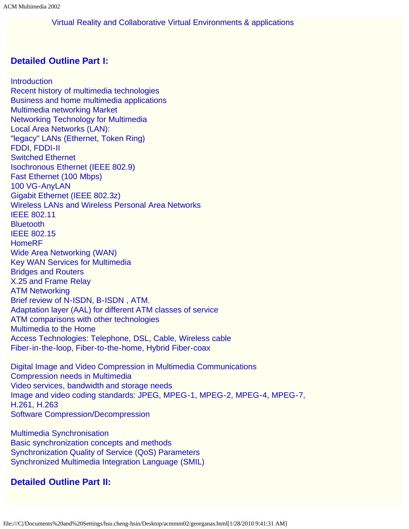Virtual Reality and Collaborative Virtual Environments & applications

### **Detailed Outline Part I:**

**Introduction** Recent history of multimedia technologies Business and home multimedia applications Multimedia networking Market Networking Technology for Multimedia Local Area Networks (LAN): "legacy" LANs (Ethernet, Token Ring) FDDI, FDDI-II Switched Ethernet Isochronous Ethernet (IEEE 802.9) Fast Ethernet (100 Mbps) 100 VG-AnyLAN Gigabit Ethernet (IEEE 802.3z) Wireless LANs and Wireless Personal Area Networks IEEE 802.11 **Bluetooth** IEEE 802.15 HomeRF Wide Area Networking (WAN) Key WAN Services for Multimedia Bridges and Routers X.25 and Frame Relay ATM Networking Brief review of N-ISDN, B-ISDN , ATM. Adaptation layer (AAL) for different ATM classes of service ATM comparisons with other technologies Multimedia to the Home Access Technologies: Telephone, DSL, Cable, Wireless cable Fiber-in-the-loop, Fiber-to-the-home, Hybrid Fiber-coax

Digital Image and Video Compression in Multimedia Communications Compression needs in Multimedia Video services, bandwidth and storage needs Image and video coding standards: JPEG, MPEG-1, MPEG-2, MPEG-4, MPEG-7, H.261, H.263 Software Compression/Decompression

Multimedia Synchronisation Basic synchronization concepts and methods Synchronization Quality of Service (QoS) Parameters Synchronized Multimedia Integration Language (SMIL)

### **Detailed Outline Part II:**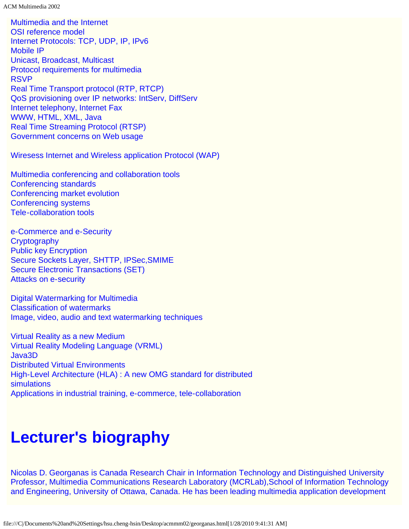ACM Multimedia 2002

Multimedia and the Internet OSI reference model Internet Protocols: TCP, UDP, IP, IPv6 Mobile IP Unicast, Broadcast, Multicast Protocol requirements for multimedia RSVP Real Time Transport protocol (RTP, RTCP) QoS provisioning over IP networks: IntServ, DiffServ Internet telephony, Internet Fax WWW, HTML, XML, Java Real Time Streaming Protocol (RTSP) Government concerns on Web usage

Wiresess Internet and Wireless application Protocol (WAP)

Multimedia conferencing and collaboration tools Conferencing standards Conferencing market evolution Conferencing systems Tele-collaboration tools

e-Commerce and e-Security **Cryptography** Public key Encryption Secure Sockets Layer, SHTTP, IPSec,SMIME Secure Electronic Transactions (SET) Attacks on e-security

Digital Watermarking for Multimedia Classification of watermarks Image, video, audio and text watermarking techniques

Virtual Reality as a new Medium Virtual Reality Modeling Language (VRML) Java3D Distributed Virtual Environments High-Level Architecture (HLA) : A new OMG standard for distributed simulations Applications in industrial training, e-commerce, tele-collaboration

# **Lecturer's biography**

Nicolas D. Georganas is Canada Research Chair in Information Technology and Distinguished University Professor, Multimedia Communications Research Laboratory (MCRLab),School of Information Technology and Engineering, University of Ottawa, Canada. He has been leading multimedia application development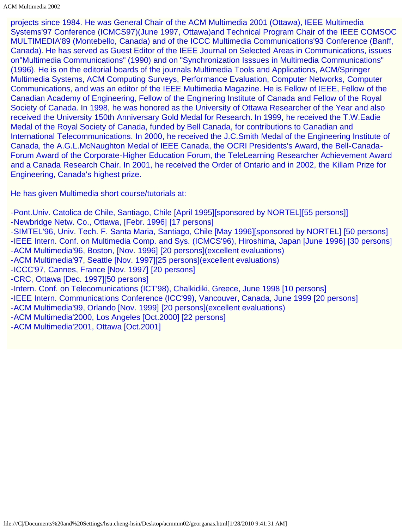projects since 1984. He was General Chair of the ACM Multimedia 2001 (Ottawa), IEEE Multimedia Systems'97 Conference (ICMCS97)(June 1997, Ottawa)and Technical Program Chair of the IEEE COMSOC MULTIMEDIA'89 (Montebello, Canada) and of the ICCC Multimedia Communications'93 Conference (Banff, Canada). He has served as Guest Editor of the IEEE Journal on Selected Areas in Communications, issues on"Multimedia Communications" (1990) and on "Synchronization Isssues in Multimedia Communications" (1996). He is on the editorial boards of the journals Multimedia Tools and Applications, ACM/Springer Multimedia Systems, ACM Computing Surveys, Performance Evaluation, Computer Networks, Computer Communications, and was an editor of the IEEE Multimedia Magazine. He is Fellow of IEEE, Fellow of the Canadian Academy of Engineering, Fellow of the Enginering Institute of Canada and Fellow of the Royal Society of Canada. In 1998, he was honored as the University of Ottawa Researcher of the Year and also received the University 150th Anniversary Gold Medal for Research. In 1999, he received the T.W.Eadie Medal of the Royal Society of Canada, funded by Bell Canada, for contributions to Canadian and International Telecommunications. In 2000, he received the J.C.Smith Medal of the Engineering Institute of Canada, the A.G.L.McNaughton Medal of IEEE Canada, the OCRI Presidents's Award, the Bell-Canada-Forum Award of the Corporate-Higher Education Forum, the TeleLearning Researcher Achievement Award and a Canada Research Chair. In 2001, he received the Order of Ontario and in 2002, the Killam Prize for Engineering, Canada's highest prize.

He has given Multimedia short course/tutorials at:

- -Pont.Univ. Catolica de Chile, Santiago, Chile [April 1995][sponsored by NORTEL][55 persons]]
- -Newbridge Netw. Co., Ottawa, [Febr. 1996] [17 persons]
- -SIMTEL'96, Univ. Tech. F. Santa Maria, Santiago, Chile [May 1996][sponsored by NORTEL] [50 persons] -IEEE Intern. Conf. on Multimedia Comp. and Sys. (ICMCS'96), Hiroshima, Japan [June 1996] [30 persons] -ACM Multimedia'96, Boston, [Nov. 1996] [20 persons](excellent evaluations)
- -ACM Multimedia'97, Seattle [Nov. 1997][25 persons](excellent evaluations)
- -ICCC'97, Cannes, France [Nov. 1997] [20 persons]
- -CRC, Ottawa [Dec. 1997][50 persons]
- -Intern. Conf. on Telecomunications (ICT'98), Chalkidiki, Greece, June 1998 [10 persons]
- -IEEE Intern. Communications Conference (ICC'99), Vancouver, Canada, June 1999 [20 persons]
- -ACM Multimedia'99, Orlando [Nov. 1999] [20 persons](excellent evaluations)
- -ACM Multimedia'2000, Los Angeles [Oct.2000] [22 persons]
- -ACM Multimedia'2001, Ottawa [Oct.2001]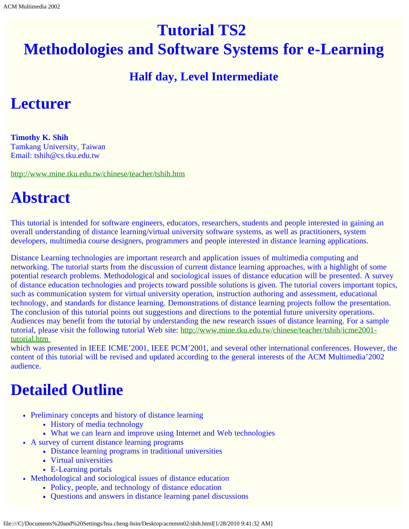# <span id="page-33-0"></span>**Tutorial TS2 Methodologies and Software Systems for e-Learning**

### **Half day, Level Intermediate**

## **Lecturer**

**Timothy K. Shih** Tamkang University, Taiwan Email: tshih@cs.tku.edu.tw

[http://www.mine.tku.edu.tw/chinese/teacher/tshih.htm](javascript:if(confirm()

# **Abstract**

This tutorial is intended for software engineers, educators, researchers, students and people interested in gaining an overall understanding of distance learning/virtual university software systems, as well as practitioners, system developers, multimedia course designers, programmers and people interested in distance learning applications.

Distance Learning technologies are important research and application issues of multimedia computing and networking. The tutorial starts from the discussion of current distance learning approaches, with a highlight of some potential research problems. Methodological and sociological issues of distance education will be presented. A survey of distance education technologies and projects toward possible solutions is given. The tutorial covers important topics, such as communication system for virtual university operation, instruction authoring and assessment, educational technology, and standards for distance learning. Demonstrations of distance learning projects follow the presentation. The conclusion of this tutorial points out suggestions and directions to the potential future university operations. Audiences may benefit from the tutorial by understanding the new research issues of distance learning. For a sample tutorial, please visit the following tutorial Web site: [http://www.mine.tku.edu.tw/chinese/teacher/tshih/icme2001](javascript:if(confirm() [tutorial.htm](javascript:if(confirm() 

which was presented in IEEE ICME'2001, IEEE PCM'2001, and several other international conferences. However, the content of this tutorial will be revised and updated according to the general interests of the ACM Multimedia'2002 audience.

## **Detailed Outline**

- Preliminary concepts and history of distance learning
	- History of media technology
	- What we can learn and improve using Internet and Web technologies
- A survey of current distance learning programs
	- Distance learning programs in traditional universities
	- Virtual universities
	- E-Learning portals
- Methodological and sociological issues of distance education
	- Policy, people, and technology of distance education
	- Questions and answers in distance learning panel discussions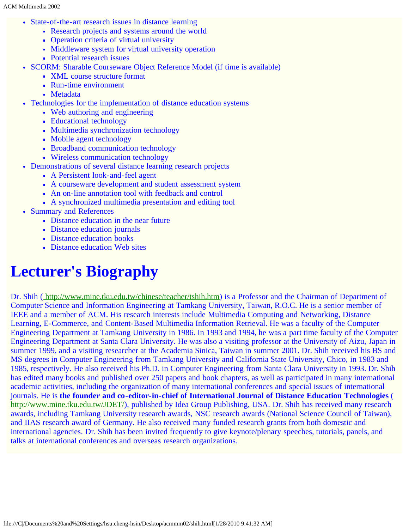- State-of-the-art research issues in distance learning
	- Research projects and systems around the world
	- Operation criteria of virtual university
	- Middleware system for virtual university operation
	- Potential research issues
- SCORM: Sharable Courseware Object Reference Model (if time is available)
	- XML course structure format
	- Run-time environment
	- Metadata
- Technologies for the implementation of distance education systems
	- Web authoring and engineering
	- Educational technology
	- Multimedia synchronization technology
	- Mobile agent technology
	- **Broadband communication technology**
	- Wireless communication technology
- Demonstrations of several distance learning research projects
	- A Persistent look-and-feel agent
	- A courseware development and student assessment system
	- An on-line annotation tool with feedback and control
	- A synchronized multimedia presentation and editing tool
- Summary and References
	- Distance education in the near future
	- Distance education journals
	- Distance education books
	- Distance education Web sites

# **Lecturer's Biography**

Dr. Shih (http://www.mine.tku.edu.tw/chinese/teacher/tshih.htm) is a Professor and the Chairman of Department of Computer Science and Information Engineering at Tamkang University, Taiwan, R.O.C. He is a senior member of IEEE and a member of ACM. His research interests include Multimedia Computing and Networking, Distance Learning, E-Commerce, and Content-Based Multimedia Information Retrieval. He was a faculty of the Computer Engineering Department at Tamkang University in 1986. In 1993 and 1994, he was a part time faculty of the Computer Engineering Department at Santa Clara University. He was also a visiting professor at the University of Aizu, Japan in summer 1999, and a visiting researcher at the Academia Sinica, Taiwan in summer 2001. Dr. Shih received his BS and MS degrees in Computer Engineering from Tamkang University and California State University, Chico, in 1983 and 1985, respectively. He also received his Ph.D. in Computer Engineering from Santa Clara University in 1993. Dr. Shih has edited many books and published over 250 papers and book chapters, as well as participated in many international academic activities, including the organization of many international conferences and special issues of international journals. He is **the founder and co-editor-in-chief of International Journal of Distance Education Technologies** ( [http://www.mine.tku.edu.tw/JDET/](javascript:if(confirm()), published by Idea Group Publishing, USA. Dr. Shih has received many research awards, including Tamkang University research awards, NSC research awards (National Science Council of Taiwan), and IIAS research award of Germany. He also received many funded research grants from both domestic and international agencies. Dr. Shih has been invited frequently to give keynote/plenary speeches, tutorials, panels, and talks at international conferences and overseas research organizations.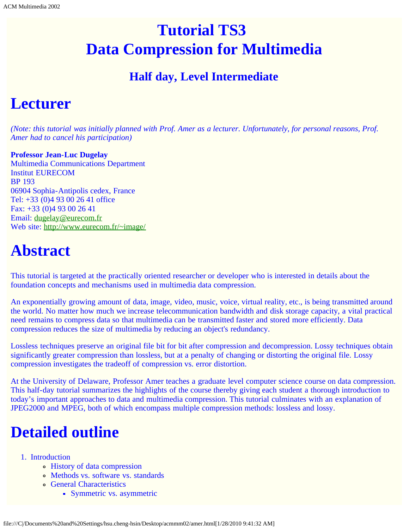# <span id="page-35-0"></span>**Tutorial TS3 Data Compression for Multimedia**

### **Half day, Level Intermediate**

## **Lecturer**

*(Note: this tutorial was initially planned with Prof. Amer as a lecturer. Unfortunately, for personal reasons, Prof. Amer had to cancel his participation)*

**Professor Jean-Luc Dugelay** Multimedia Communications Department Institut EURECOM BP 193 06904 Sophia-Antipolis cedex, France Tel: +33 (0)4 93 00 26 41 office Fax: +33 (0)4 93 00 26 41 Email: [dugelay@eurecom.fr](mailto:dugelay@eurecom.fr) Web site: [http://www.eurecom.fr/~image/](javascript:if(confirm()

## **Abstract**

This tutorial is targeted at the practically oriented researcher or developer who is interested in details about the foundation concepts and mechanisms used in multimedia data compression.

An exponentially growing amount of data, image, video, music, voice, virtual reality, etc., is being transmitted around the world. No matter how much we increase telecommunication bandwidth and disk storage capacity, a vital practical need remains to compress data so that multimedia can be transmitted faster and stored more efficiently. Data compression reduces the size of multimedia by reducing an object's redundancy.

Lossless techniques preserve an original file bit for bit after compression and decompression. Lossy techniques obtain significantly greater compression than lossless, but at a penalty of changing or distorting the original file. Lossy compression investigates the tradeoff of compression vs. error distortion.

At the University of Delaware, Professor Amer teaches a graduate level computer science course on data compression. This half-day tutorial summarizes the highlights of the course thereby giving each student a thorough introduction to today's important approaches to data and multimedia compression. This tutorial culminates with an explanation of JPEG2000 and MPEG, both of which encompass multiple compression methods: lossless and lossy.

# **Detailed outline**

- 1. Introduction
	- History of data compression
	- Methods vs. software vs. standards
	- General Characteristics
		- Symmetric vs. asymmetric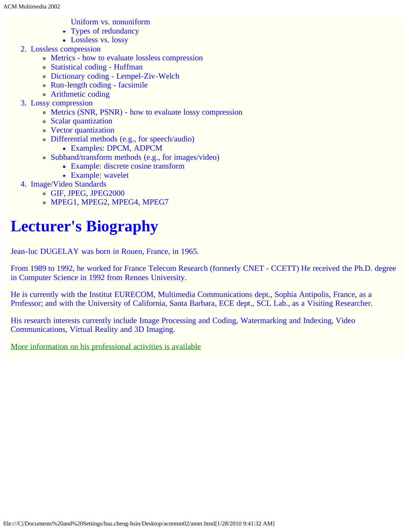- Uniform vs. nonuniform
- Types of redundancy
- **Lossless vs. lossy**
- 2. Lossless compression
	- Metrics how to evaluate lossless compression
	- Statistical coding Huffman
	- Dictionary coding Lempel-Ziv-Welch
	- Run-length coding facsimile
	- Arithmetic coding
- 3. Lossy compression
	- Metrics (SNR, PSNR) how to evaluate lossy compression
	- Scalar quantization
	- Vector quantization
	- Differential methods (e.g., for speech/audio)
		- Examples: DPCM, ADPCM
	- Subband/transform methods (e.g., for images/video)
		- Example: discrete cosine transform
		- **Example:** wavelet
- 4. Image/Video Standards
	- GIF, JPEG, JPEG2000
	- MPEG1, MPEG2, MPEG4, MPEG7

# **Lecturer's Biography**

Jean-luc DUGELAY was born in Rouen, France, in 1965.

From 1989 to 1992, he worked for France Telecom Research (formerly CNET - CCETT) He received the Ph.D. degree in Computer Science in 1992 from Rennes University.

He is currently with the Institut EURECOM, Multimedia Communications dept., Sophia Antipolis, France, as a Professor; and with the University of California, Santa Barbara, ECE dept., SCL Lab., as a Visiting Researcher.

His research interests currently include Image Processing and Coding, Watermarking and Indexing, Video Communications, Virtual Reality and 3D Imaging.

[More information on his professional activities is available](javascript:if(confirm()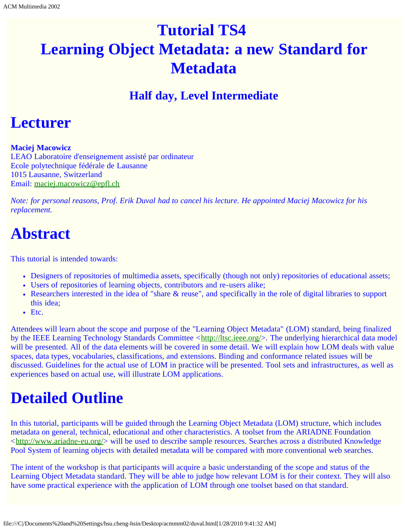# <span id="page-37-0"></span>**Tutorial TS4 Learning Object Metadata: a new Standard for Metadata**

### **Half day, Level Intermediate**

## **Lecturer**

**Maciej Macowicz**

LEAO Laboratoire d'enseignement assisté par ordinateur Ecole polytechnique fédérale de Lausanne 1015 Lausanne, Switzerland Email: [maciej.macowicz@epfl.ch](mailto:maciej.macowicz@epfl.ch)

*Note: for personal reasons, Prof. Erik Duval had to cancel his lecture. He appointed Maciej Macowicz for his replacement.*

## **Abstract**

This tutorial is intended towards:

- Designers of repositories of multimedia assets, specifically (though not only) repositories of educational assets;
- Users of repositories of learning objects, contributors and re-users alike;
- Researchers interested in the idea of "share & reuse", and specifically in the role of digital libraries to support this idea;
- Etc.

Attendees will learn about the scope and purpose of the "Learning Object Metadata" (LOM) standard, being finalized by the IEEE Learning Technology Standards Committee <[http://ltsc.ieee.org/](javascript:if(confirm()>. The underlying hierarchical data model will be presented. All of the data elements will be covered in some detail. We will explain how LOM deals with value spaces, data types, vocabularies, classifications, and extensions. Binding and conformance related issues will be discussed. Guidelines for the actual use of LOM in practice will be presented. Tool sets and infrastructures, as well as experiences based on actual use, will illustrate LOM applications.

# **Detailed Outline**

In this tutorial, participants will be guided through the Learning Object Metadata (LOM) structure, which includes metadata on general, technical, educational and other characteristics. A toolset from the ARIADNE Foundation  $\lt$ http://www.ariadne-eu.org/ $>$  will be used to describe sample resources. Searches across a distributed Knowledge Pool System of learning objects with detailed metadata will be compared with more conventional web searches.

The intent of the workshop is that participants will acquire a basic understanding of the scope and status of the Learning Object Metadata standard. They will be able to judge how relevant LOM is for their context. They will also have some practical experience with the application of LOM through one toolset based on that standard.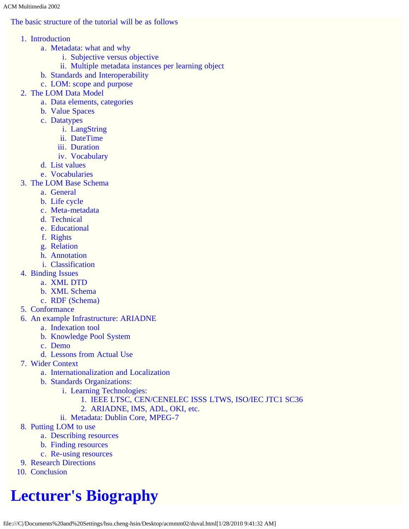ACM Multimedia 2002

### The basic structure of the tutorial will be as follows

- 1. Introduction
	- a. Metadata: what and why
		- i. Subjective versus objective
		- ii. Multiple metadata instances per learning object
	- b. Standards and Interoperability
	- c. LOM: scope and purpose
- 2. The LOM Data Model
	- a. Data elements, categories
	- b. Value Spaces
	- c. Datatypes
		- i. LangString
		- ii. DateTime
		- iii. Duration
		- iv. Vocabulary
	- d. List values
	- e. Vocabularies
- 3. The LOM Base Schema
	- a. General
	- b. Life cycle
	- c. Meta-metadata
	- d. Technical
	- e. Educational
	- f. Rights
	- g. Relation
	- h. Annotation
	- i. Classification
- 4. Binding Issues
	- a. XML DTD
	- b. XML Schema
	- c. RDF (Schema)
- 5. Conformance
- 6. An example Infrastructure: ARIADNE
	- a. Indexation tool
	- b. Knowledge Pool System
	- c. Demo
	- d. Lessons from Actual Use
- 7. Wider Context
	- a. Internationalization and Localization
	- b. Standards Organizations:
		- i. Learning Technologies:
			- 1. IEEE LTSC, CEN/CENELEC ISSS LTWS, ISO/IEC JTC1 SC36
			- 2. ARIADNE, IMS, ADL, OKI, etc.
		- ii. Metadata: Dublin Core, MPEG-7
- 8. Putting LOM to use
	- a. Describing resources
	- b. Finding resources
	- c. Re-using resources
- 9. Research Directions
- 10. Conclusion

# **Lecturer's Biography**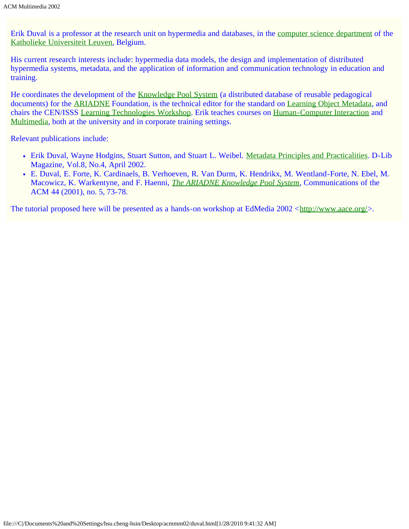Erik Duval is a professor at the research unit on hypermedia and databases, in the [computer science department](javascript:if(confirm() of the [Katholieke Universiteit Leuven](javascript:if(confirm(), Belgium.

His current research interests include: hypermedia data models, the design and implementation of distributed hypermedia systems, metadata, and the application of information and communication technology in education and training.

He coordinates the development of the [Knowledge Pool System](javascript:if(confirm() (a distributed database of reusable pedagogical documents) for the [ARIADNE](javascript:if(confirm() Foundation, is the technical editor for the standard on [Learning Object Metadata,](javascript:if(confirm() and chairs the CEN/ISSS [Learning Technologies Workshop](javascript:if(confirm(). Erik teaches courses on [Human-Computer Interaction](javascript:if(confirm() and [Multimedia](javascript:if(confirm(), both at the university and in corporate training settings.

Relevant publications include:

- Erik Duval, Wayne Hodgins, Stuart Sutton, and Stuart L. Weibel. [Metadata Principles and Practicalities.](javascript:if(confirm() D-Lib Magazine, Vol.8, No.4, April 2002.
- E. Duval, E. Forte, K. Cardinaels, B. Verhoeven, R. Van Durm, K. Hendrikx, M. Wentland-Forte, N. Ebel, M. Macowicz, K. Warkentyne, and F. Haenni, *[The ARIADNE Knowledge Pool System](javascript:if(confirm()*, Communications of the ACM 44 (2001), no. 5, 73-78.

The tutorial proposed here will be presented as a hands-on workshop at EdMedia 2002 <[http://www.aace.org/>](javascript:if(confirm().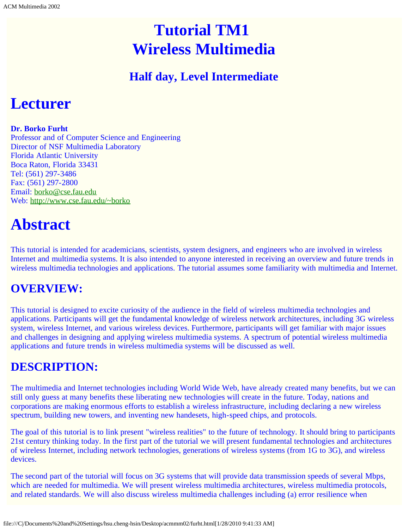# **Tutorial TM1 Wireless Multimedia**

### **Half day, Level Intermediate**

## <span id="page-40-0"></span>**Lecturer**

#### **Dr. Borko Furht**

Professor and of Computer Science and Engineering Director of NSF Multimedia Laboratory Florida Atlantic University Boca Raton, Florida 33431 Tel: (561) 297-3486 Fax: (561) 297-2800 Email: [borko@cse.fau.edu](mailto:borko@cse.fau.edu) Web: [http://www.cse.fau.edu/~borko](javascript:if(confirm()

## **Abstract**

This tutorial is intended for academicians, scientists, system designers, and engineers who are involved in wireless Internet and multimedia systems. It is also intended to anyone interested in receiving an overview and future trends in wireless multimedia technologies and applications. The tutorial assumes some familiarity with multimedia and Internet.

### **OVERVIEW:**

This tutorial is designed to excite curiosity of the audience in the field of wireless multimedia technologies and applications. Participants will get the fundamental knowledge of wireless network architectures, including 3G wireless system, wireless Internet, and various wireless devices. Furthermore, participants will get familiar with major issues and challenges in designing and applying wireless multimedia systems. A spectrum of potential wireless multimedia applications and future trends in wireless multimedia systems will be discussed as well.

### **DESCRIPTION:**

The multimedia and Internet technologies including World Wide Web, have already created many benefits, but we can still only guess at many benefits these liberating new technologies will create in the future. Today, nations and corporations are making enormous efforts to establish a wireless infrastructure, including declaring a new wireless spectrum, building new towers, and inventing new handesets, high-speed chips, and protocols.

The goal of this tutorial is to link present "wireless realities" to the future of technology. It should bring to participants 21st century thinking today. In the first part of the tutorial we will present fundamental technologies and architectures of wireless Internet, including network technologies, generations of wireless systems (from 1G to 3G), and wireless devices.

The second part of the tutorial will focus on 3G systems that will provide data transmission speeds of several Mbps, which are needed for multimedia. We will present wireless multimedia architectures, wireless multimedia protocols, and related standards. We will also discuss wireless multimedia challenges including (a) error resilience when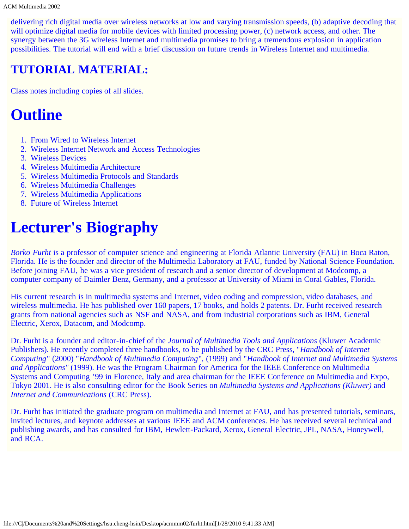delivering rich digital media over wireless networks at low and varying transmission speeds, (b) adaptive decoding that will optimize digital media for mobile devices with limited processing power, (c) network access, and other. The synergy between the 3G wireless Internet and multimedia promises to bring a tremendous explosion in application possibilities. The tutorial will end with a brief discussion on future trends in Wireless Internet and multimedia.

### **TUTORIAL MATERIAL:**

Class notes including copies of all slides.

## **Outline**

- 1. From Wired to Wireless Internet
- 2. Wireless Internet Network and Access Technologies
- 3. Wireless Devices
- 4. Wireless Multimedia Architecture
- 5. Wireless Multimedia Protocols and Standards
- 6. Wireless Multimedia Challenges
- 7. Wireless Multimedia Applications
- 8. Future of Wireless Internet

## **Lecturer's Biography**

*Borko Furht* is a professor of computer science and engineering at Florida Atlantic University (FAU) in Boca Raton, Florida. He is the founder and director of the Multimedia Laboratory at FAU, funded by National Science Foundation. Before joining FAU, he was a vice president of research and a senior director of development at Modcomp, a computer company of Daimler Benz, Germany, and a professor at University of Miami in Coral Gables, Florida.

His current research is in multimedia systems and Internet, video coding and compression, video databases, and wireless multimedia. He has published over 160 papers, 17 books, and holds 2 patents. Dr. Furht received research grants from national agencies such as NSF and NASA, and from industrial corporations such as IBM, General Electric, Xerox, Datacom, and Modcomp.

Dr. Furht is a founder and editor-in-chief of the *Journal of Multimedia Tools and Applications* (Kluwer Academic Publishers). He recently completed three handbooks, to be published by the CRC Press, "*Handbook of Internet Computing*" (2000) "*Handbook of Multimedia Computing*", (1999) and "*Handbook of Internet and Multimedia Systems and Applications"* (1999). He was the Program Chairman for America for the IEEE Conference on Multimedia Systems and Computing '99 in Florence, Italy and area chairman for the IEEE Conference on Multimedia and Expo, Tokyo 2001. He is also consulting editor for the Book Series on *Multimedia Systems and Applications (Kluwer)* and *Internet and Communications* (CRC Press).

Dr. Furht has initiated the graduate program on multimedia and Internet at FAU, and has presented tutorials, seminars, invited lectures, and keynote addresses at various IEEE and ACM conferences. He has received several technical and publishing awards, and has consulted for IBM, Hewlett-Packard, Xerox, General Electric, JPL, NASA, Honeywell, and RCA.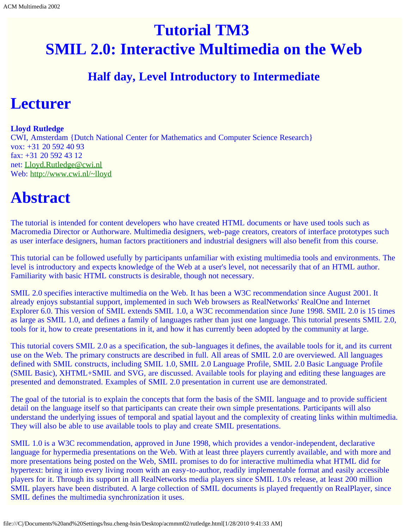# <span id="page-42-0"></span>**Tutorial TM3 SMIL 2.0: Interactive Multimedia on the Web**

### **Half day, Level Introductory to Intermediate**

## **Lecturer**

#### **Lloyd Rutledge**

CWI, Amsterdam {Dutch National Center for Mathematics and Computer Science Research} vox: +31 20 592 40 93 fax: +31 20 592 43 12 net: [Lloyd.Rutledge@cwi.nl](mailto:Lloyd.Rutledge@cwi.nl) Web: [http://www.cwi.nl/~lloyd](javascript:if(confirm()

# **Abstract**

The tutorial is intended for content developers who have created HTML documents or have used tools such as Macromedia Director or Authorware. Multimedia designers, web-page creators, creators of interface prototypes such as user interface designers, human factors practitioners and industrial designers will also benefit from this course.

This tutorial can be followed usefully by participants unfamiliar with existing multimedia tools and environments. The level is introductory and expects knowledge of the Web at a user's level, not necessarily that of an HTML author. Familiarity with basic HTML constructs is desirable, though not necessary.

SMIL 2.0 specifies interactive multimedia on the Web. It has been a W3C recommendation since August 2001. It already enjoys substantial support, implemented in such Web browsers as RealNetworks' RealOne and Internet Explorer 6.0. This version of SMIL extends SMIL 1.0, a W3C recommendation since June 1998. SMIL 2.0 is 15 times as large as SMIL 1.0, and defines a family of languages rather than just one language. This tutorial presents SMIL 2.0, tools for it, how to create presentations in it, and how it has currently been adopted by the community at large.

This tutorial covers SMIL 2.0 as a specification, the sub-languages it defines, the available tools for it, and its current use on the Web. The primary constructs are described in full. All areas of SMIL 2.0 are overviewed. All languages defined with SMIL constructs, including SMIL 1.0, SMIL 2.0 Language Profile, SMIL 2.0 Basic Language Profile (SMIL Basic), XHTML+SMIL and SVG, are discussed. Available tools for playing and editing these languages are presented and demonstrated. Examples of SMIL 2.0 presentation in current use are demonstrated.

The goal of the tutorial is to explain the concepts that form the basis of the SMIL language and to provide sufficient detail on the language itself so that participants can create their own simple presentations. Participants will also understand the underlying issues of temporal and spatial layout and the complexity of creating links within multimedia. They will also be able to use available tools to play and create SMIL presentations.

SMIL 1.0 is a W3C recommendation, approved in June 1998, which provides a vendor-independent, declarative language for hypermedia presentations on the Web. With at least three players currently available, and with more and more presentations being posted on the Web, SMIL promises to do for interactive multimedia what HTML did for hypertext: bring it into every living room with an easy-to-author, readily implementable format and easily accessible players for it. Through its support in all RealNetworks media players since SMIL 1.0's release, at least 200 million SMIL players have been distributed. A large collection of SMIL documents is played frequently on RealPlayer, since SMIL defines the multimedia synchronization it uses.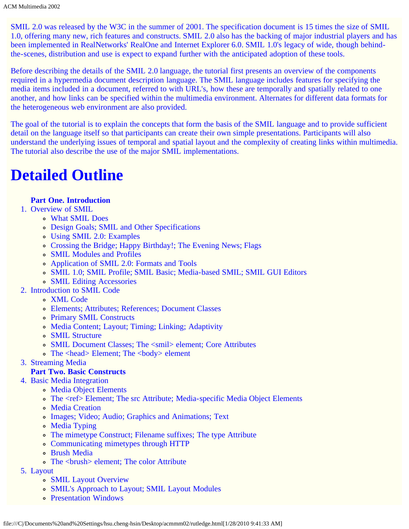SMIL 2.0 was released by the W3C in the summer of 2001. The specification document is 15 times the size of SMIL 1.0, offering many new, rich features and constructs. SMIL 2.0 also has the backing of major industrial players and has been implemented in RealNetworks' RealOne and Internet Explorer 6.0. SMIL 1.0's legacy of wide, though behindthe-scenes, distribution and use is expect to expand further with the anticipated adoption of these tools.

Before describing the details of the SMIL 2.0 language, the tutorial first presents an overview of the components required in a hypermedia document description language. The SMIL language includes features for specifying the media items included in a document, referred to with URL's, how these are temporally and spatially related to one another, and how links can be specified within the multimedia environment. Alternates for different data formats for the heterogeneous web environment are also provided.

The goal of the tutorial is to explain the concepts that form the basis of the SMIL language and to provide sufficient detail on the language itself so that participants can create their own simple presentations. Participants will also understand the underlying issues of temporal and spatial layout and the complexity of creating links within multimedia. The tutorial also describe the use of the major SMIL implementations.

## **Detailed Outline**

#### **Part One. Introduction**

- 1. Overview of SMIL
	- What SMIL Does
	- Design Goals; SMIL and Other Specifications
	- Using SMIL 2.0: Examples
	- Crossing the Bridge; Happy Birthday!; The Evening News; Flags
	- SMIL Modules and Profiles
	- Application of SMIL 2.0: Formats and Tools
	- SMIL 1.0; SMIL Profile; SMIL Basic; Media-based SMIL; SMIL GUI Editors
	- SMIL Editing Accessories
- 2. Introduction to SMIL Code
	- XML Code
	- Elements; Attributes; References; Document Classes
	- Primary SMIL Constructs
	- Media Content; Layout; Timing; Linking; Adaptivity
	- SMIL Structure
	- SMIL Document Classes; The <smil> element; Core Attributes
	- The <head> Element; The <br/>body> element
- 3. Streaming Media

#### **Part Two. Basic Constructs**

- 4. Basic Media Integration
	- Media Object Elements
	- The <ref> Element; The src Attribute; Media-specific Media Object Elements
	- Media Creation
	- Images; Video; Audio; Graphics and Animations; Text
	- Media Typing
	- The mimetype Construct; Filename suffixes; The type Attribute
	- Communicating mimetypes through HTTP
	- Brush Media
	- The <br/> color Attribute
- 5. Layout
	- SMIL Layout Overview
	- SMIL's Approach to Layout; SMIL Layout Modules
	- Presentation Windows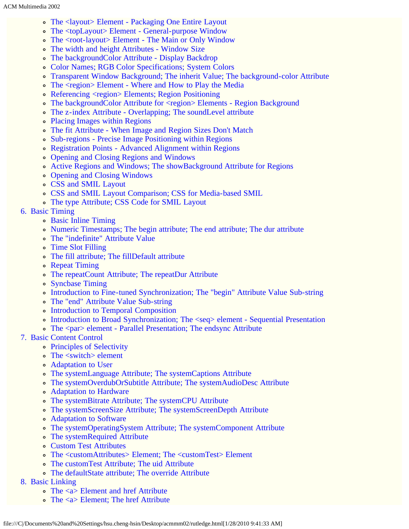- The <layout> Element Packaging One Entire Layout
- The <topLayout> Element General-purpose Window
- The <root-layout> Element The Main or Only Window
- The width and height Attributes Window Size
- The backgroundColor Attribute Display Backdrop
- Color Names; RGB Color Specifications; System Colors
- Transparent Window Background; The inherit Value; The background-color Attribute
- The <region> Element Where and How to Play the Media
- Referencing <region> Elements; Region Positioning
- The backgroundColor Attribute for <region> Elements Region Background
- The z-index Attribute Overlapping; The soundLevel attribute
- Placing Images within Regions
- The fit Attribute When Image and Region Sizes Don't Match
- Sub-regions Precise Image Positioning within Regions
- Registration Points Advanced Alignment within Regions
- Opening and Closing Regions and Windows
- Active Regions and Windows; The showBackground Attribute for Regions
- Opening and Closing Windows
- CSS and SMIL Layout
- CSS and SMIL Layout Comparison; CSS for Media-based SMIL
- The type Attribute; CSS Code for SMIL Layout
- 6. Basic Timing
	- Basic Inline Timing
	- Numeric Timestamps; The begin attribute; The end attribute; The dur attribute
	- The "indefinite" Attribute Value
	- Time Slot Filling
	- The fill attribute; The fillDefault attribute
	- Repeat Timing
	- The repeatCount Attribute; The repeatDur Attribute
	- Syncbase Timing
	- Introduction to Fine-tuned Synchronization; The "begin" Attribute Value Sub-string
	- The "end" Attribute Value Sub-string
	- Introduction to Temporal Composition
	- Introduction to Broad Synchronization; The <seq> element Sequential Presentation
	- The <par> element Parallel Presentation; The endsync Attribute
- 7. Basic Content Control
	- Principles of Selectivity
	- The <switch> element
	- Adaptation to User
	- The systemLanguage Attribute; The systemCaptions Attribute
	- The systemOverdubOrSubtitle Attribute; The systemAudioDesc Attribute
	- Adaptation to Hardware
	- The systemBitrate Attribute; The systemCPU Attribute
	- The systemScreenSize Attribute; The systemScreenDepth Attribute
	- Adaptation to Software
	- The systemOperatingSystem Attribute; The systemComponent Attribute
	- The systemRequired Attribute
	- Custom Test Attributes
	- The <customAttributes> Element; The <customTest> Element
	- The customTest Attribute; The uid Attribute
	- The defaultState attribute; The override Attribute
- 8. Basic Linking
	- The <a> Element and href Attribute
	- The  $\langle a \rangle$  Element; The href Attribute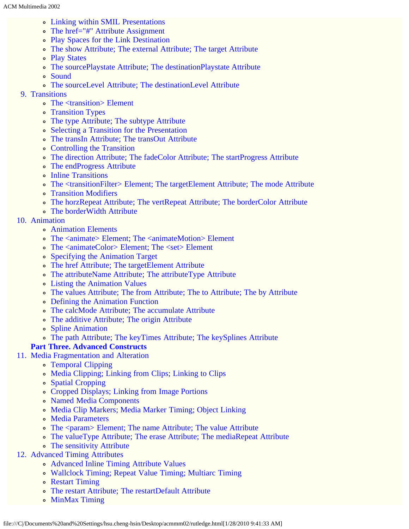- Linking within SMIL Presentations
- The href="#" Attribute Assignment
- Play Spaces for the Link Destination
- The show Attribute; The external Attribute; The target Attribute
- Play States
- The sourcePlaystate Attribute; The destinationPlaystate Attribute
- Sound
- The sourceLevel Attribute; The destinationLevel Attribute
- 9. Transitions
	- The <transition> Element
	- **Transition Types**
	- The type Attribute; The subtype Attribute
	- Selecting a Transition for the Presentation
	- The transIn Attribute; The transOut Attribute
	- Controlling the Transition
	- The direction Attribute; The fadeColor Attribute; The startProgress Attribute
	- The endProgress Attribute
	- Inline Transitions
	- The <transitionFilter> Element; The targetElement Attribute; The mode Attribute
	- Transition Modifiers
	- The horzRepeat Attribute; The vertRepeat Attribute; The borderColor Attribute
	- The borderWidth Attribute
- 10. Animation
	- Animation Elements
	- The <animate> Element; The <animateMotion> Element
	- The <animateColor> Element; The <set> Element
	- Specifying the Animation Target
	- The href Attribute; The targetElement Attribute
	- The attributeName Attribute; The attributeType Attribute
	- Listing the Animation Values
	- The values Attribute; The from Attribute; The to Attribute; The by Attribute
	- Defining the Animation Function
	- The calcMode Attribute; The accumulate Attribute
	- The additive Attribute; The origin Attribute
	- Spline Animation
	- The path Attribute; The keyTimes Attribute; The keySplines Attribute

#### **Part Three. Advanced Constructs**

- 11. Media Fragmentation and Alteration
	- Temporal Clipping
	- Media Clipping; Linking from Clips; Linking to Clips
	- Spatial Cropping
	- Cropped Displays; Linking from Image Portions
	- Named Media Components
	- Media Clip Markers; Media Marker Timing; Object Linking
	- Media Parameters
	- The <param> Element; The name Attribute; The value Attribute
	- The valueType Attribute; The erase Attribute; The mediaRepeat Attribute
	- The sensitivity Attribute
- 12. Advanced Timing Attributes
	- Advanced Inline Timing Attribute Values
	- Wallclock Timing; Repeat Value Timing; Multiarc Timing
	- Restart Timing
	- The restart Attribute; The restartDefault Attribute
	- MinMax Timing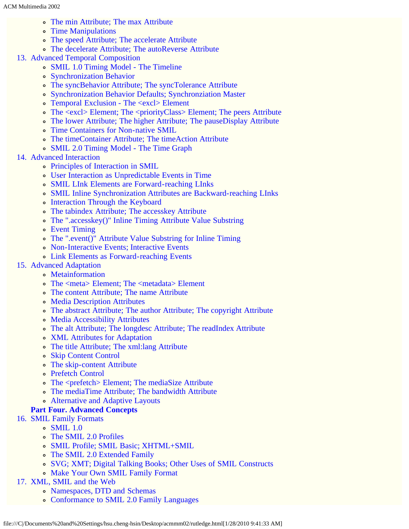- The min Attribute; The max Attribute
- Time Manipulations
- The speed Attribute; The accelerate Attribute
- The decelerate Attribute; The autoReverse Attribute
- 13. Advanced Temporal Composition
	- SMIL 1.0 Timing Model The Timeline
	- Synchronization Behavior
	- The syncBehavior Attribute; The syncTolerance Attribute
	- Synchronization Behavior Defaults; Synchronziation Master
	- Temporal Exclusion The <excl> Element
	- The <excl> Element; The <priorityClass> Element; The peers Attribute
	- The lower Attribute; The higher Attribute; The pauseDisplay Attribute
	- Time Containers for Non-native SMIL
	- The timeContainer Attribute; The timeAction Attribute
	- SMIL 2.0 Timing Model The Time Graph
- 14. Advanced Interaction
	- Principles of Interaction in SMIL
	- User Interaction as Unpredictable Events in Time
	- SMIL LInk Elements are Forward-reaching LInks
	- SMIL Inline Synchronization Attributes are Backward-reaching LInks
	- Interaction Through the Keyboard
	- The tabindex Attribute; The accesskey Attribute
	- The ".accesskey()" Inline Timing Attribute Value Substring
	- Event Timing
	- The ".event()" Attribute Value Substring for Inline Timing
	- Non-Interactive Events; Interactive Events
	- Link Elements as Forward-reaching Events
- 15. Advanced Adaptation
	- Metainformation
		- The <meta> Element; The <metadata> Element
		- The content Attribute; The name Attribute
		- Media Description Attributes
		- The abstract Attribute; The author Attribute; The copyright Attribute
		- Media Accessibility Attributes
		- The alt Attribute; The longdesc Attribute; The readIndex Attribute
		- XML Attributes for Adaptation
		- The title Attribute; The xml:lang Attribute
		- Skip Content Control
		- The skip-content Attribute
		- Prefetch Control
		- The <prefetch> Element; The mediaSize Attribute
		- The mediaTime Attribute; The bandwidth Attribute
		- Alternative and Adaptive Layouts

#### **Part Four. Advanced Concepts**

- 16. SMIL Family Formats
	- SMIL 1.0
	- The SMIL 2.0 Profiles
	- SMIL Profile; SMIL Basic; XHTML+SMIL
	- The SMIL 2.0 Extended Family
	- SVG; XMT; Digital Talking Books; Other Uses of SMIL Constructs
	- Make Your Own SMIL Family Format

#### 17. XML, SMIL and the Web

- Namespaces, DTD and Schemas
- Conformance to SMIL 2.0 Family Languages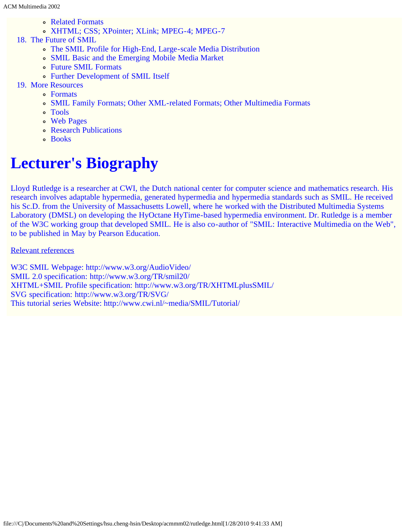- Related Formats
- XHTML; CSS; XPointer; XLink; MPEG-4; MPEG-7
- 18. The Future of SMIL
	- The SMIL Profile for High-End, Large-scale Media Distribution
	- SMIL Basic and the Emerging Mobile Media Market
	- Future SMIL Formats
	- Further Development of SMIL Itself
- 19. More Resources
	- Formats
	- SMIL Family Formats; Other XML-related Formats; Other Multimedia Formats
	- Tools
	- Web Pages
	- Research Publications
	- Books

# **Lecturer's Biography**

Lloyd Rutledge is a researcher at CWI, the Dutch national center for computer science and mathematics research. His research involves adaptable hypermedia, generated hypermedia and hypermedia standards such as SMIL. He received his Sc.D. from the University of Massachusetts Lowell, where he worked with the Distributed Multimedia Systems Laboratory (DMSL) on developing the HyOctane HyTime-based hypermedia environment. Dr. Rutledge is a member of the W3C working group that developed SMIL. He is also co-author of "SMIL: Interactive Multimedia on the Web", to be published in May by Pearson Education.

#### Relevant references

W3C SMIL Webpage: http://www.w3.org/AudioVideo/ SMIL 2.0 specification: http://www.w3.org/TR/smil20/ XHTML+SMIL Profile specification: http://www.w3.org/TR/XHTMLplusSMIL/ SVG specification: http://www.w3.org/TR/SVG/ This tutorial series Website: http://www.cwi.nl/~media/SMIL/Tutorial/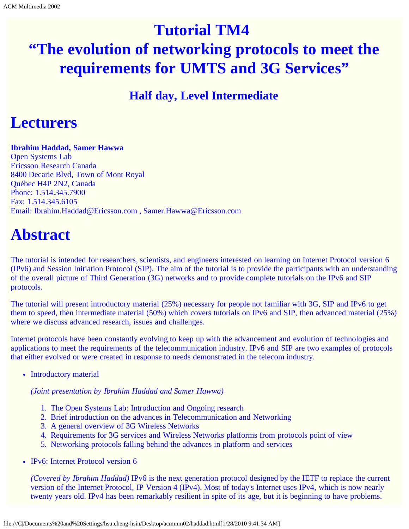# <span id="page-48-0"></span>**Tutorial TM4 "The evolution of networking protocols to meet the requirements for UMTS and 3G Services"**

### **Half day, Level Intermediate**

## **Lecturers**

#### **Ibrahim Haddad, Samer Hawwa**

Open Systems Lab Ericsson Research Canada 8400 Decarie Blvd, Town of Mont Royal Québec H4P 2N2, Canada Phone: 1.514.345.7900 Fax: 1.514.345.6105 Email: Ibrahim.Haddad@Ericsson.com , Samer.Hawwa@Ericsson.com

## **Abstract**

The tutorial is intended for researchers, scientists, and engineers interested on learning on Internet Protocol version 6 (IPv6) and Session Initiation Protocol (SIP). The aim of the tutorial is to provide the participants with an understanding of the overall picture of Third Generation (3G) networks and to provide complete tutorials on the IPv6 and SIP protocols.

The tutorial will present introductory material (25%) necessary for people not familiar with 3G, SIP and IPv6 to get them to speed, then intermediate material (50%) which covers tutorials on IPv6 and SIP, then advanced material (25%) where we discuss advanced research, issues and challenges.

Internet protocols have been constantly evolving to keep up with the advancement and evolution of technologies and applications to meet the requirements of the telecommunication industry. IPv6 and SIP are two examples of protocols that either evolved or were created in response to needs demonstrated in the telecom industry.

• Introductory material

*(Joint presentation by Ibrahim Haddad and Samer Hawwa)*

- 1. The Open Systems Lab: Introduction and Ongoing research
- 2. Brief introduction on the advances in Telecommunication and Networking
- 3. A general overview of 3G Wireless Networks
- 4. Requirements for 3G services and Wireless Networks platforms from protocols point of view
- 5. Networking protocols falling behind the advances in platform and services
- IPv6: Internet Protocol version 6

*(Covered by Ibrahim Haddad)* IPv6 is the next generation protocol designed by the IETF to replace the current version of the Internet Protocol, IP Version 4 (IPv4). Most of today's Internet uses IPv4, which is now nearly twenty years old. IPv4 has been remarkably resilient in spite of its age, but it is beginning to have problems.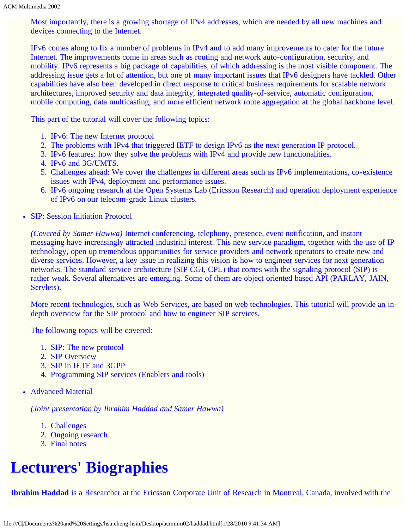Most importantly, there is a growing shortage of IPv4 addresses, which are needed by all new machines and devices connecting to the Internet.

IPv6 comes along to fix a number of problems in IPv4 and to add many improvements to cater for the future Internet. The improvements come in areas such as routing and network auto-configuration, security, and mobility. IPv6 represents a big package of capabilities, of which addressing is the most visible component. The addressing issue gets a lot of attention, but one of many important issues that IPv6 designers have tackled. Other capabilities have also been developed in direct response to critical business requirements for scalable network architectures, improved security and data integrity, integrated quality-of-service, automatic configuration, mobile computing, data multicasting, and more efficient network route aggregation at the global backbone level.

This part of the tutorial will cover the following topics:

- 1. IPv6: The new Internet protocol
- 2. The problems with IPv4 that triggered IETF to design IPv6 as the next generation IP protocol.
- 3. IPv6 features: how they solve the problems with IPv4 and provide new functionalities.
- 4. IPv6 and 3G/UMTS.
- 5. Challenges ahead: We cover the challenges in different areas such as IPv6 implementations, co-existence issues with IPv4, deployment and performance issues.
- 6. IPv6 ongoing research at the Open Systems Lab (Ericsson Research) and operation deployment experience of IPv6 on our telecom-grade Linux clusters.
- SIP: Session Initiation Protocol

*(Covered by Samer Hawwa)* Internet conferencing, telephony, presence, event notification, and instant messaging have increasingly attracted industrial interest. This new service paradigm, together with the use of IP technology, open up tremendous opportunities for service providers and network operators to create new and diverse services. However, a key issue in realizing this vision is how to engineer services for next generation networks. The standard service architecture (SIP CGI, CPL) that comes with the signaling protocol (SIP) is rather weak. Several alternatives are emerging. Some of them are object oriented based API (PARLAY, JAIN, Servlets).

More recent technologies, such as Web Services, are based on web technologies. This tutorial will provide an indepth overview for the SIP protocol and how to engineer SIP services.

The following topics will be covered:

- 1. SIP: The new protocol
- 2. SIP Overview
- 3. SIP in IETF and 3GPP
- 4. Programming SIP services (Enablers and tools)
- Advanced Material

*(Joint presentation by Ibrahim Haddad and Samer Hawwa)*

- 1. Challenges
- 2. Ongoing research
- 3. Final notes

# **Lecturers' Biographies**

**Ibrahim Haddad** is a Researcher at the Ericsson Corporate Unit of Research in Montreal, Canada, involved with the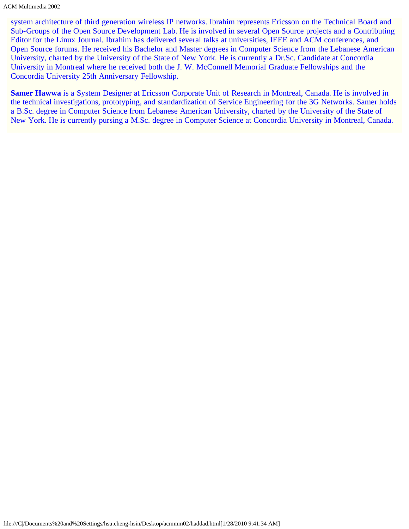system architecture of third generation wireless IP networks. Ibrahim represents Ericsson on the Technical Board and Sub-Groups of the Open Source Development Lab. He is involved in several Open Source projects and a Contributing Editor for the Linux Journal. Ibrahim has delivered several talks at universities, IEEE and ACM conferences, and Open Source forums. He received his Bachelor and Master degrees in Computer Science from the Lebanese American University, charted by the University of the State of New York. He is currently a Dr.Sc. Candidate at Concordia University in Montreal where he received both the J. W. McConnell Memorial Graduate Fellowships and the Concordia University 25th Anniversary Fellowship.

**Samer Hawwa** is a System Designer at Ericsson Corporate Unit of Research in Montreal, Canada. He is involved in the technical investigations, prototyping, and standardization of Service Engineering for the 3G Networks. Samer holds a B.Sc. degree in Computer Science from Lebanese American University, charted by the University of the State of New York. He is currently pursing a M.Sc. degree in Computer Science at Concordia University in Montreal, Canada.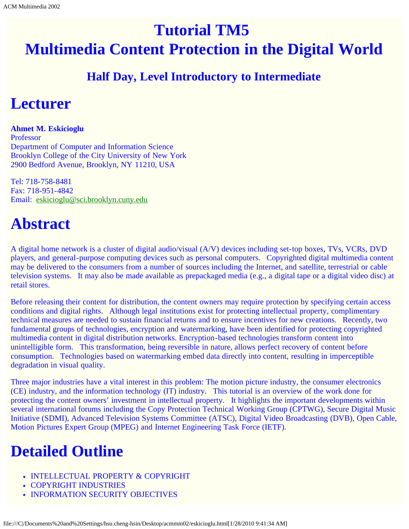# <span id="page-51-0"></span>**Tutorial TM5 Multimedia Content Protection in the Digital World**

### **Half Day, Level Introductory to Intermediate**

## **Lecturer**

**Ahmet M. Eskicioglu** Professor Department of Computer and Information Science Brooklyn College of the City University of New York 2900 Bedford Avenue, Brooklyn, NY 11210, USA

Tel: 718-758-8481 Fax: 718-951-4842 Email: [eskicioglu@sci.brooklyn.cuny.edu](mailto:eskicioglu@sci.brooklyn.cuny.edu)

## **Abstract**

A digital home network is a cluster of digital audio/visual (A/V) devices including set-top boxes, TVs, VCRs, DVD players, and general-purpose computing devices such as personal computers. Copyrighted digital multimedia content may be delivered to the consumers from a number of sources including the Internet, and satellite, terrestrial or cable television systems. It may also be made available as prepackaged media (e.g., a digital tape or a digital video disc) at retail stores.

Before releasing their content for distribution, the content owners may require protection by specifying certain access conditions and digital rights. Although legal institutions exist for protecting intellectual property, complimentary technical measures are needed to sustain financial returns and to ensure incentives for new creations. Recently, two fundamental groups of technologies, encryption and watermarking, have been identified for protecting copyrighted multimedia content in digital distribution networks. Encryption-based technologies transform content into unintelligible form. This transformation, being reversible in nature, allows perfect recovery of content before consumption. Technologies based on watermarking embed data directly into content, resulting in imperceptible degradation in visual quality.

Three major industries have a vital interest in this problem: The motion picture industry, the consumer electronics (CE) industry, and the information technology (IT) industry. This tutorial is an overview of the work done for protecting the content owners' investment in intellectual property. It highlights the important developments within several international forums including the Copy Protection Technical Working Group (CPTWG), Secure Digital Music Initiative (SDMI), Advanced Television Systems Committee (ATSC), Digital Video Broadcasting (DVB), Open Cable, Motion Pictures Expert Group (MPEG) and Internet Engineering Task Force (IETF).

# **Detailed Outline**

- INTELLECTUAL PROPERTY & COPYRIGHT
- COPYRIGHT INDUSTRIES
- INFORMATION SECURITY OBJECTIVES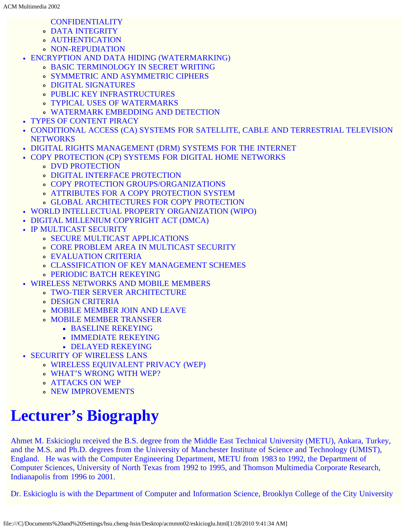- CONFIDENTIALITY
- DATA INTEGRITY
- AUTHENTICATION
- **ON-REPUDIATION**
- ENCRYPTION AND DATA HIDING (WATERMARKING)
	- BASIC TERMINOLOGY IN SECRET WRITING
	- SYMMETRIC AND ASYMMETRIC CIPHERS
	- DIGITAL SIGNATURES
	- PUBLIC KEY INFRASTRUCTURES
	- TYPICAL USES OF WATERMARKS
	- WATERMARK EMBEDDING AND DETECTION
- TYPES OF CONTENT PIRACY
- CONDITIONAL ACCESS (CA) SYSTEMS FOR SATELLITE, CABLE AND TERRESTRIAL TELEVISION **NETWORKS**
- DIGITAL RIGHTS MANAGEMENT (DRM) SYSTEMS FOR THE INTERNET
- COPY PROTECTION (CP) SYSTEMS FOR DIGITAL HOME NETWORKS
	- DVD PROTECTION
	- **· DIGITAL INTERFACE PROTECTION**
	- **COPY PROTECTION GROUPS/ORGANIZATIONS**
	- ATTRIBUTES FOR A COPY PROTECTION SYSTEM
	- GLOBAL ARCHITECTURES FOR COPY PROTECTION
- WORLD INTELLECTUAL PROPERTY ORGANIZATION (WIPO)
- DIGITAL MILLENIUM COPYRIGHT ACT (DMCA)
- IP MULTICAST SECURITY
	- SECURE MULTICAST APPLICATIONS
	- CORE PROBLEM AREA IN MULTICAST SECURITY
	- EVALUATION CRITERIA
	- CLASSIFICATION OF KEY MANAGEMENT SCHEMES
	- PERIODIC BATCH REKEYING
- WIRELESS NETWORKS AND MOBILE MEMBERS
	- TWO-TIER SERVER ARCHITECTURE
	- DESIGN CRITERIA
	- MOBILE MEMBER JOIN AND LEAVE
	- MOBILE MEMBER TRANSFER
		- **BASELINE REKEYING**
		- **IMMEDIATE REKEYING**
		- DELAYED REKEYING
- SECURITY OF WIRELESS LANS
	- WIRELESS EQUIVALENT PRIVACY (WEP)
	- WHAT'S WRONG WITH WEP?
	- ATTACKS ON WEP
	- **O NEW IMPROVEMENTS**

# **Lecturer's Biography**

Ahmet M. Eskicioglu received the B.S. degree from the Middle East Technical University (METU), Ankara, Turkey, and the M.S. and Ph.D. degrees from the University of Manchester Institute of Science and Technology (UMIST), England. He was with the Computer Engineering Department, METU from 1983 to 1992, the Department of Computer Sciences, University of North Texas from 1992 to 1995, and Thomson Multimedia Corporate Research, Indianapolis from 1996 to 2001.

Dr. Eskicioglu is with the Department of Computer and Information Science, Brooklyn College of the City University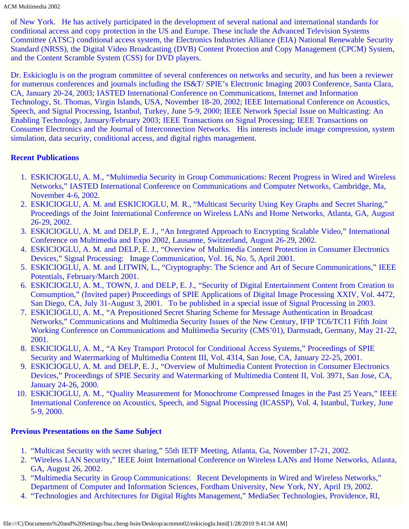ACM Multimedia 2002

of New York. He has actively participated in the development of several national and international standards for conditional access and copy protection in the US and Europe. These include the Advanced Television Systems Committee (ATSC) conditional access system, the Electronics Industries Alliance (EIA) National Renewable Security Standard (NRSS), the Digital Video Broadcasting (DVB) Content Protection and Copy Management (CPCM) System, and the Content Scramble System (CSS) for DVD players.

Dr. Eskicioglu is on the program committee of several conferences on networks and security, and has been a reviewer for numerous conferences and journals including the IS&T/ SPIE's Electronic Imaging 2003 Conference, Santa Clara, CA, January 20-24, 2003; IASTED International Conference on Communications, Internet and Information Technology, St. Thomas, Virgin Islands, USA, November 18-20, 2002; IEEE International Conference on Acoustics, Speech, and Signal Processing, Istanbul, Turkey, June 5-9, 2000; IEEE Network Special Issue on Multicasting: An Enabling Technology, January/February 2003; IEEE Transactions on Signal Processing; IEEE Transactions on Consumer Electronics and the Journal of Interconnection Networks. His interests include image compression, system simulation, data security, conditional access, and digital rights management.

#### **Recent Publications**

- 1. ESKICIOGLU, A. M., "Multimedia Security in Group Communications: Recent Progress in Wired and Wireless Networks," IASTED International Conference on Communications and Computer Networks, Cambridge, Ma, November 4-6, 2002.
- 2. ESKICIOGLU, A. M. and ESKICIOGLU, M. R., "Multicast Security Using Key Graphs and Secret Sharing," Proceedings of the Joint International Conference on Wireless LANs and Home Networks, Atlanta, GA, August 26-29, 2002.
- 3. ESKICIOGLU, A. M. and DELP, E. J., "An Integrated Approach to Encrypting Scalable Video," International Conference on Multimedia and Expo 2002, Lausanne, Switzerland, August 26-29, 2002.
- 4. ESKICIOGLU, A. M. and DELP, E. J., "Overview of Multimedia Content Protection in Consumer Electronics Devices," Signal Processing: Image Communication, Vol. 16, No. 5, April 2001.
- 5. ESKICIOGLU, A. M. and LITWIN, L., "Cryptography: The Science and Art of Secure Communications," IEEE Potentials, February/March 2001.
- 6. ESKICIOGLU, A. M., TOWN, J. and DELP, E. J., "Security of Digital Entertainment Content from Creation to Consumption," (Invited paper) Proceedings of SPIE Applications of Digital Image Processing XXIV, Vol. 4472, San Diego, CA, July 31-August 3, 2001. To be published in a special issue of Signal Processing in 2003.
- 7. ESKICIOGLU, A. M., "A Prepositioned Secret Sharing Scheme for Message Authentication in Broadcast Networks," Communications and Multimedia Security Issues of the New Century, IFIP TC6/TC11 Fifth Joint Working Conference on Communications and Multimedia Security (CMS'01), Darmstadt, Germany, May 21-22, 2001.
- 8. ESKICIOGLU, A. M., "A Key Transport Protocol for Conditional Access Systems," Proceedings of SPIE Security and Watermarking of Multimedia Content III, Vol. 4314, San Jose, CA, January 22-25, 2001.
- 9. ESKICIOGLU, A. M. and DELP, E. J., "Overview of Multimedia Content Protection in Consumer Electronics Devices," Proceedings of SPIE Security and Watermarking of Multimedia Content II, Vol. 3971, San Jose, CA, January 24-26, 2000.
- 10. ESKICIOGLU, A. M., "Quality Measurement for Monochrome Compressed Images in the Past 25 Years," IEEE International Conference on Acoustics, Speech, and Signal Processing (ICASSP), Vol. 4, Istanbul, Turkey, June 5-9, 2000.

#### **Previous Presentations on the Same Subject**

- 1. "Multicast Security with secret sharing," 55th IETF Meeting, Atlanta, Ga, November 17-21, 2002.
- 2. "Wireless LAN Security," IEEE Joint International Conference on Wireless LANs and Home Networks, Atlanta, GA, August 26, 2002.
- 3. "Multimedia Security in Group Communications: Recent Developments in Wired and Wireless Networks," Department of Computer and Information Sciences, Fordham University, New York, NY, April 19, 2002.
- 4. "Technologies and Architectures for Digital Rights Management," MediaSec Technologies, Providence, RI,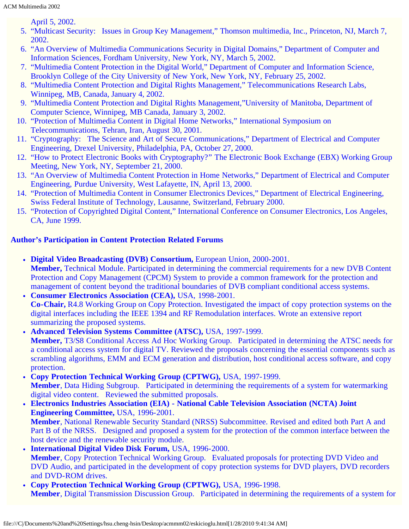April 5, 2002.

- 5. "Multicast Security: Issues in Group Key Management," Thomson multimedia, Inc., Princeton, NJ, March 7, 2002.
- 6. "An Overview of Multimedia Communications Security in Digital Domains," Department of Computer and Information Sciences, Fordham University, New York, NY, March 5, 2002.
- 7. "Multimedia Content Protection in the Digital World," Department of Computer and Information Science, Brooklyn College of the City University of New York, New York, NY, February 25, 2002.
- 8. "Multimedia Content Protection and Digital Rights Management," Telecommunications Research Labs, Winnipeg, MB, Canada, January 4, 2002.
- 9. "Multimedia Content Protection and Digital Rights Management,"University of Manitoba, Department of Computer Science, Winnipeg, MB Canada, January 3, 2002.
- 10. "Protection of Multimedia Content in Digital Home Networks," International Symposium on Telecommunications, Tehran, Iran, August 30, 2001.
- 11. "Cryptography: The Science and Art of Secure Communications," Department of Electrical and Computer Engineering, Drexel University, Philadelphia, PA, October 27, 2000.
- 12. "How to Protect Electronic Books with Cryptography?" The Electronic Book Exchange (EBX) Working Group Meeting, New York, NY, September 21, 2000.
- 13. "An Overview of Multimedia Content Protection in Home Networks," Department of Electrical and Computer Engineering, Purdue University, West Lafayette, IN, April 13, 2000.
- 14. "Protection of Multimedia Content in Consumer Electronics Devices," Department of Electrical Engineering, Swiss Federal Institute of Technology, Lausanne, Switzerland, February 2000.
- 15. "Protection of Copyrighted Digital Content," International Conference on Consumer Electronics, Los Angeles, CA, June 1999.

### **Author's Participation in Content Protection Related Forums**

- **Digital Video Broadcasting (DVB) Consortium, European Union, 2000-2001. Member,** Technical Module. Participated in determining the commercial requirements for a new DVB Content Protection and Copy Management (CPCM) System to provide a common framework for the protection and management of content beyond the traditional boundaries of DVB compliant conditional access systems.
- **Consumer Electronics Association (CEA),** USA, 1998-2001.  $\bullet$ **Co-Chair,** R4.8 Working Group on Copy Protection. Investigated the impact of copy protection systems on the digital interfaces including the IEEE 1394 and RF Remodulation interfaces. Wrote an extensive report summarizing the proposed systems.
- **Advanced Television Systems Committee (ATSC),** USA, 1997-1999.  $\bullet$ **Member,** T3/S8 Conditional Access Ad Hoc Working Group. Participated in determining the ATSC needs for a conditional access system for digital TV. Reviewed the proposals concerning the essential components such as scrambling algorithms, EMM and ECM generation and distribution, host conditional access software, and copy protection.
- **Copy Protection Technical Working Group (CPTWG),** USA, 1997-1999. **Member**, Data Hiding Subgroup. Participated in determining the requirements of a system for watermarking digital video content. Reviewed the submitted proposals.
- **Electronics Industries Association (EIA) National Cable Television Association (NCTA) Joint Engineering Committee,** USA, 1996-2001. **Member**, National Renewable Security Standard (NRSS) Subcommittee. Revised and edited both Part A and Part B of the NRSS. Designed and proposed a system for the protection of the common interface between the host device and the renewable security module.
- **International Digital Video Disk Forum,** USA, 1996-2000. **Member**, Copy Protection Technical Working Group. Evaluated proposals for protecting DVD Video and DVD Audio, and participated in the development of copy protection systems for DVD players, DVD recorders and DVD-ROM drives.
- **Copy Protection Technical Working Group (CPTWG),** USA, 1996-1998. **Member**, Digital Transmission Discussion Group. Participated in determining the requirements of a system for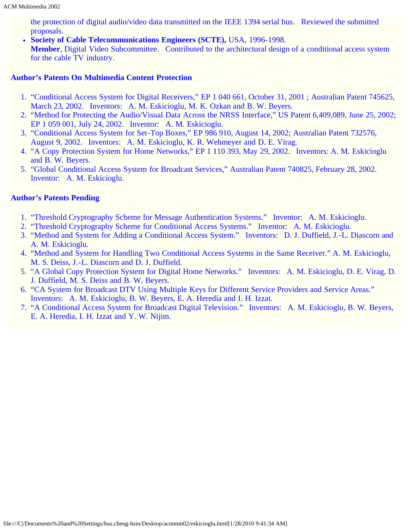the protection of digital audio/video data transmitted on the IEEE 1394 serial bus. Reviewed the submitted proposals.

**Society of Cable Telecommunications Engineers (SCTE),** USA, 1996-1998.

**Member**, Digital Video Subcommittee. Contributed to the architectural design of a conditional access system for the cable TV industry.

#### **Author's Patents On Multimedia Content Protection**

- 1. "Conditional Access System for Digital Receivers," EP 1 040 661, October 31, 2001 ; Australian Patent 745625, March 23, 2002. Inventors: A. M. Eskicioglu, M. K. Ozkan and B. W. Beyers.
- 2. "Method for Protecting the Audio/Visual Data Across the NRSS Interface," US Patent 6,409,089, June 25, 2002; EP 1 059 001, July 24, 2002. Inventor: A. M. Eskicioglu.
- 3. "Conditional Access System for Set-Top Boxes," EP 986 910, August 14, 2002; Australian Patent 732576, August 9, 2002. Inventors: A. M. Eskicioglu, K. R. Wehmeyer and D. E. Virag.
- 4. "A Copy Protection System for Home Networks," EP 1 110 393, May 29, 2002. Inventors: A. M. Eskicioglu and B. W. Beyers.
- 5. "Global Conditional Access System for Broadcast Services," Australian Patent 740825, February 28, 2002. Inventor: A. M. Eskicioglu.

#### **Author's Patents Pending**

- 1. "Threshold Cryptography Scheme for Message Authentication Systems." Inventor: A. M. Eskicioglu.
- 2. "Threshold Cryptography Scheme for Conditional Access Systems." Inventor: A. M. Eskicioglu.
- 3. "Method and System for Adding a Conditional Access System." Inventors: D. J. Duffield, J.-L. Diascorn and A. M. Eskicioglu.
- 4. "Method and System for Handling Two Conditional Access Systems in the Same Receiver." A. M. Eskicioglu, M. S. Deiss, J.-L. Diascorn and D. J. Duffield.
- 5. "A Global Copy Protection System for Digital Home Networks." Inventors: A. M. Eskicioglu, D. E. Virag, D. J. Duffield, M. S. Deiss and B. W. Beyers.
- 6. "CA System for Broadcast DTV Using Multiple Keys for Different Service Providers and Service Areas." Inventors: A. M. Eskicioglu, B. W. Beyers, E. A. Heredia and I. H. Izzat.
- 7. "A Conditional Access System for Broadcast Digital Television." Inventors: A. M. Eskicioglu, B. W. Beyers, E. A. Heredia, I. H. Izzat and Y. W. Nijim.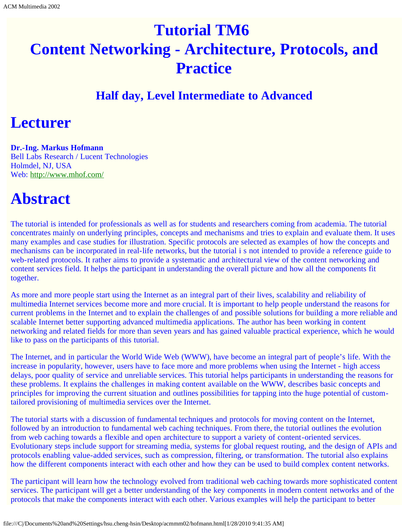# <span id="page-56-0"></span>**Tutorial TM6 Content Networking - Architecture, Protocols, and Practice**

### **Half day, Level Intermediate to Advanced**

## **Lecturer**

#### **Dr.-Ing. Markus Hofmann**

Bell Labs Research / Lucent Technologies Holmdel, NJ, USA Web: [http://www.mhof.com/](javascript:if(confirm()

## **Abstract**

The tutorial is intended for professionals as well as for students and researchers coming from academia. The tutorial concentrates mainly on underlying principles, concepts and mechanisms and tries to explain and evaluate them. It uses many examples and case studies for illustration. Specific protocols are selected as examples of how the concepts and mechanisms can be incorporated in real-life networks, but the tutorial i s not intended to provide a reference guide to web-related protocols. It rather aims to provide a systematic and architectural view of the content networking and content services field. It helps the participant in understanding the overall picture and how all the components fit together.

As more and more people start using the Internet as an integral part of their lives, scalability and reliability of multimedia Internet services become more and more crucial. It is important to help people understand the reasons for current problems in the Internet and to explain the challenges of and possible solutions for building a more reliable and scalable Internet better supporting advanced multimedia applications. The author has been working in content networking and related fields for more than seven years and has gained valuable practical experience, which he would like to pass on the participants of this tutorial.

The Internet, and in particular the World Wide Web (WWW), have become an integral part of people's life. With the increase in popularity, however, users have to face more and more problems when using the Internet - high access delays, poor quality of service and unreliable services. This tutorial helps participants in understanding the reasons for these problems. It explains the challenges in making content available on the WWW, describes basic concepts and principles for improving the current situation and outlines possibilities for tapping into the huge potential of customtailored provisioning of multimedia services over the Internet.

The tutorial starts with a discussion of fundamental techniques and protocols for moving content on the Internet, followed by an introduction to fundamental web caching techniques. From there, the tutorial outlines the evolution from web caching towards a flexible and open architecture to support a variety of content-oriented services. Evolutionary steps include support for streaming media, systems for global request routing, and the design of APIs and protocols enabling value-added services, such as compression, filtering, or transformation. The tutorial also explains how the different components interact with each other and how they can be used to build complex content networks.

The participant will learn how the technology evolved from traditional web caching towards more sophisticated content services. The participant will get a better understanding of the key components in modern content networks and of the protocols that make the components interact with each other. Various examples will help the participant to better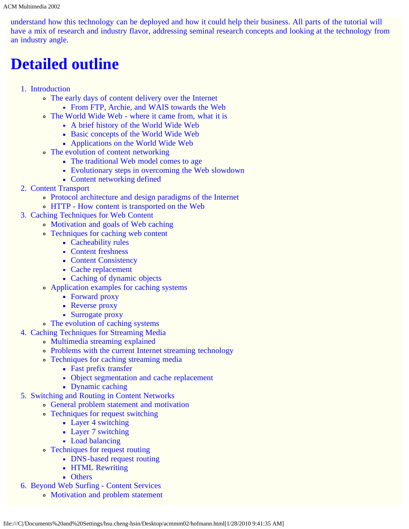understand how this technology can be deployed and how it could help their business. All parts of the tutorial will have a mix of research and industry flavor, addressing seminal research concepts and looking at the technology from an industry angle.

## **Detailed outline**

- 1. Introduction
	- The early days of content delivery over the Internet
		- From FTP, Archie, and WAIS towards the Web
	- The World Wide Web where it came from, what it is
		- A brief history of the World Wide Web
		- Basic concepts of the World Wide Web
		- Applications on the World Wide Web
	- The evolution of content networking
		- The traditional Web model comes to age
		- Evolutionary steps in overcoming the Web slowdown
		- Content networking defined
- 2. Content Transport
	- Protocol architecture and design paradigms of the Internet
	- HTTP How content is transported on the Web
- 3. Caching Techniques for Web Content
	- Motivation and goals of Web caching
	- Techniques for caching web content
		- Cacheability rules
		- Content freshness
		- Content Consistency
		- Cache replacement
		- Caching of dynamic objects
	- Application examples for caching systems
		- Forward proxy
		- Reverse proxy
		- Surrogate proxy
	- The evolution of caching systems
- 4. Caching Techniques for Streaming Media
	- Multimedia streaming explained
	- Problems with the current Internet streaming technology
	- Techniques for caching streaming media
		- Fast prefix transfer
		- Object segmentation and cache replacement
		- Dynamic caching
- 5. Switching and Routing in Content Networks
	- General problem statement and motivation
	- Techniques for request switching
		- Layer 4 switching
		- Layer 7 switching
		- Load balancing
	- Techniques for request routing
		- DNS-based request routing
			- **HTML Rewriting**
			- **Others**
- 6. Beyond Web Surfing Content Services
	- Motivation and problem statement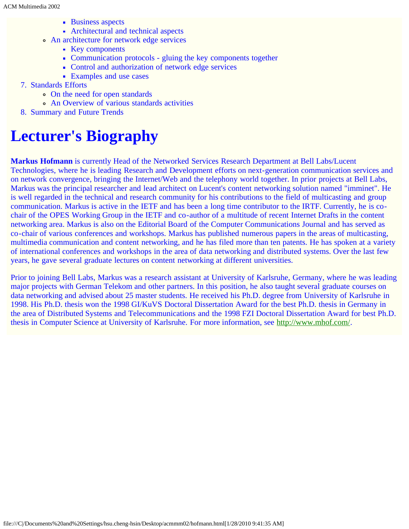- **Business aspects**
- Architectural and technical aspects
- An architecture for network edge services
	- Key components
	- Communication protocols gluing the key components together
	- Control and authorization of network edge services
	- Examples and use cases
- 7. Standards Efforts
	- On the need for open standards
	- An Overview of various standards activities
- 8. Summary and Future Trends

## **Lecturer's Biography**

**Markus Hofmann** is currently Head of the Networked Services Research Department at Bell Labs/Lucent Technologies, where he is leading Research and Development efforts on next-generation communication services and on network convergence, bringing the Internet/Web and the telephony world together. In prior projects at Bell Labs, Markus was the principal researcher and lead architect on Lucent's content networking solution named "imminet". He is well regarded in the technical and research community for his contributions to the field of multicasting and group communication. Markus is active in the IETF and has been a long time contributor to the IRTF. Currently, he is cochair of the OPES Working Group in the IETF and co-author of a multitude of recent Internet Drafts in the content networking area. Markus is also on the Editorial Board of the Computer Communications Journal and has served as co-chair of various conferences and workshops. Markus has published numerous papers in the areas of multicasting, multimedia communication and content networking, and he has filed more than ten patents. He has spoken at a variety of international conferences and workshops in the area of data networking and distributed systems. Over the last few years, he gave several graduate lectures on content networking at different universities.

Prior to joining Bell Labs, Markus was a research assistant at University of Karlsruhe, Germany, where he was leading major projects with German Telekom and other partners. In this position, he also taught several graduate courses on data networking and advised about 25 master students. He received his Ph.D. degree from University of Karlsruhe in 1998. His Ph.D. thesis won the 1998 GI/KuVS Doctoral Dissertation Award for the best Ph.D. thesis in Germany in the area of Distributed Systems and Telecommunications and the 1998 FZI Doctoral Dissertation Award for best Ph.D. thesis in Computer Science at University of Karlsruhe. For more information, see [http://www.mhof.com/](javascript:if(confirm().